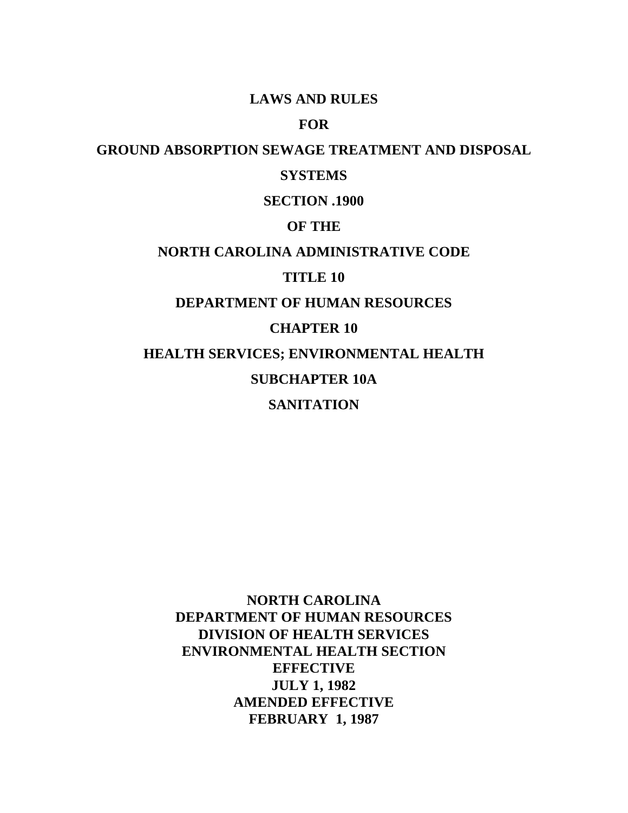## **LAWS AND RULES**

# **FOR**

## **GROUND ABSORPTION SEWAGE TREATMENT AND DISPOSAL**

# **SYSTEMS**

# **SECTION .1900**

# **OF THE**

# **NORTH CAROLINA ADMINISTRATIVE CODE**

# **TITLE 10**

# **DEPARTMENT OF HUMAN RESOURCES**

# **CHAPTER 10**

**HEALTH SERVICES; ENVIRONMENTAL HEALTH**

# **SUBCHAPTER 10A**

# **SANITATION**

**NORTH CAROLINA DEPARTMENT OF HUMAN RESOURCES DIVISION OF HEALTH SERVICES ENVIRONMENTAL HEALTH SECTION EFFECTIVE JULY 1, 1982 AMENDED EFFECTIVE FEBRUARY 1, 1987**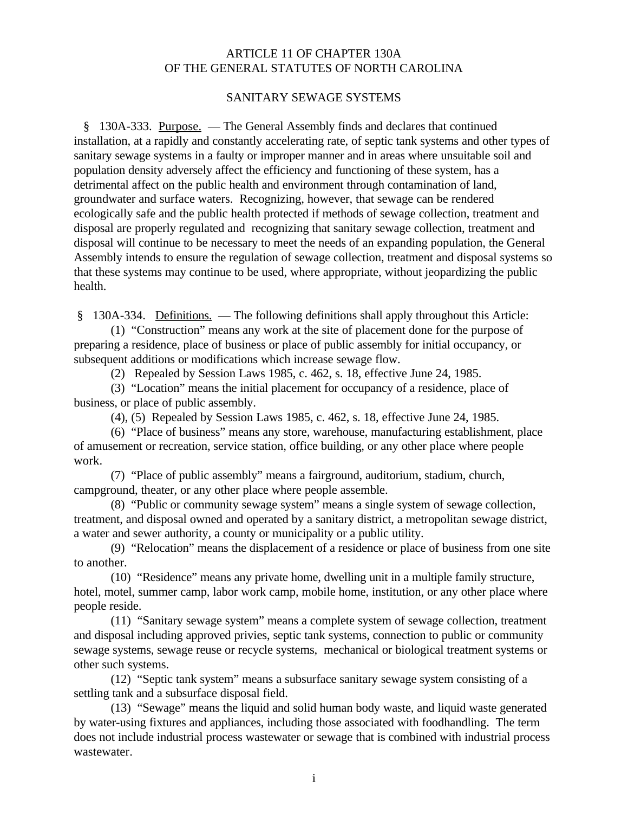## ARTICLE 11 OF CHAPTER 130A OF THE GENERAL STATUTES OF NORTH CAROLINA

## SANITARY SEWAGE SYSTEMS

 § 130A-333. Purpose. — The General Assembly finds and declares that continued installation, at a rapidly and constantly accelerating rate, of septic tank systems and other types of sanitary sewage systems in a faulty or improper manner and in areas where unsuitable soil and population density adversely affect the efficiency and functioning of these system, has a detrimental affect on the public health and environment through contamination of land, groundwater and surface waters. Recognizing, however, that sewage can be rendered ecologically safe and the public health protected if methods of sewage collection, treatment and disposal are properly regulated and recognizing that sanitary sewage collection, treatment and disposal will continue to be necessary to meet the needs of an expanding population, the General Assembly intends to ensure the regulation of sewage collection, treatment and disposal systems so that these systems may continue to be used, where appropriate, without jeopardizing the public health.

§ 130A-334. Definitions. — The following definitions shall apply throughout this Article:

(1) "Construction" means any work at the site of placement done for the purpose of preparing a residence, place of business or place of public assembly for initial occupancy, or subsequent additions or modifications which increase sewage flow.

(2) Repealed by Session Laws 1985, c. 462, s. 18, effective June 24, 1985.

(3) "Location" means the initial placement for occupancy of a residence, place of business, or place of public assembly.

(4), (5) Repealed by Session Laws 1985, c. 462, s. 18, effective June 24, 1985.

(6) "Place of business" means any store, warehouse, manufacturing establishment, place of amusement or recreation, service station, office building, or any other place where people work.

(7) "Place of public assembly" means a fairground, auditorium, stadium, church, campground, theater, or any other place where people assemble.

(8) "Public or community sewage system" means a single system of sewage collection, treatment, and disposal owned and operated by a sanitary district, a metropolitan sewage district, a water and sewer authority, a county or municipality or a public utility.

(9) "Relocation" means the displacement of a residence or place of business from one site to another.

(10) "Residence" means any private home, dwelling unit in a multiple family structure, hotel, motel, summer camp, labor work camp, mobile home, institution, or any other place where people reside.

(11) "Sanitary sewage system" means a complete system of sewage collection, treatment and disposal including approved privies, septic tank systems, connection to public or community sewage systems, sewage reuse or recycle systems, mechanical or biological treatment systems or other such systems.

(12) "Septic tank system" means a subsurface sanitary sewage system consisting of a settling tank and a subsurface disposal field.

(13) "Sewage" means the liquid and solid human body waste, and liquid waste generated by water-using fixtures and appliances, including those associated with foodhandling. The term does not include industrial process wastewater or sewage that is combined with industrial process wastewater.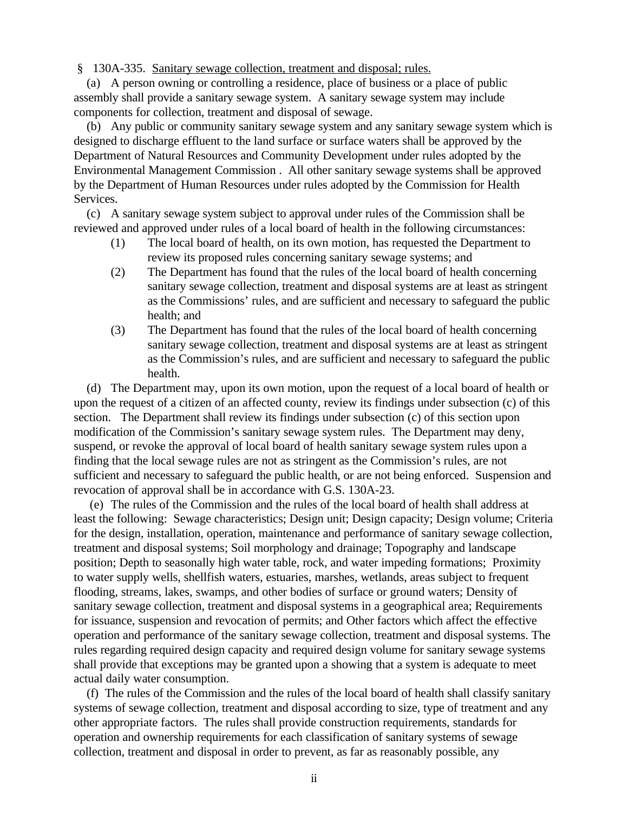§ 130A-335. Sanitary sewage collection, treatment and disposal; rules.

 (a) A person owning or controlling a residence, place of business or a place of public assembly shall provide a sanitary sewage system. A sanitary sewage system may include components for collection, treatment and disposal of sewage.

 (b) Any public or community sanitary sewage system and any sanitary sewage system which is designed to discharge effluent to the land surface or surface waters shall be approved by the Department of Natural Resources and Community Development under rules adopted by the Environmental Management Commission . All other sanitary sewage systems shall be approved by the Department of Human Resources under rules adopted by the Commission for Health Services.

 (c) A sanitary sewage system subject to approval under rules of the Commission shall be reviewed and approved under rules of a local board of health in the following circumstances:

- (1) The local board of health, on its own motion, has requested the Department to review its proposed rules concerning sanitary sewage systems; and
- (2) The Department has found that the rules of the local board of health concerning sanitary sewage collection, treatment and disposal systems are at least as stringent as the Commissions' rules, and are sufficient and necessary to safeguard the public health; and
- (3) The Department has found that the rules of the local board of health concerning sanitary sewage collection, treatment and disposal systems are at least as stringent as the Commission's rules, and are sufficient and necessary to safeguard the public health.

 (d) The Department may, upon its own motion, upon the request of a local board of health or upon the request of a citizen of an affected county, review its findings under subsection (c) of this section. The Department shall review its findings under subsection (c) of this section upon modification of the Commission's sanitary sewage system rules. The Department may deny, suspend, or revoke the approval of local board of health sanitary sewage system rules upon a finding that the local sewage rules are not as stringent as the Commission's rules, are not sufficient and necessary to safeguard the public health, or are not being enforced. Suspension and revocation of approval shall be in accordance with G.S. 130A-23.

 (e) The rules of the Commission and the rules of the local board of health shall address at least the following: Sewage characteristics; Design unit; Design capacity; Design volume; Criteria for the design, installation, operation, maintenance and performance of sanitary sewage collection, treatment and disposal systems; Soil morphology and drainage; Topography and landscape position; Depth to seasonally high water table, rock, and water impeding formations; Proximity to water supply wells, shellfish waters, estuaries, marshes, wetlands, areas subject to frequent flooding, streams, lakes, swamps, and other bodies of surface or ground waters; Density of sanitary sewage collection, treatment and disposal systems in a geographical area; Requirements for issuance, suspension and revocation of permits; and Other factors which affect the effective operation and performance of the sanitary sewage collection, treatment and disposal systems. The rules regarding required design capacity and required design volume for sanitary sewage systems shall provide that exceptions may be granted upon a showing that a system is adequate to meet actual daily water consumption.

 (f) The rules of the Commission and the rules of the local board of health shall classify sanitary systems of sewage collection, treatment and disposal according to size, type of treatment and any other appropriate factors. The rules shall provide construction requirements, standards for operation and ownership requirements for each classification of sanitary systems of sewage collection, treatment and disposal in order to prevent, as far as reasonably possible, any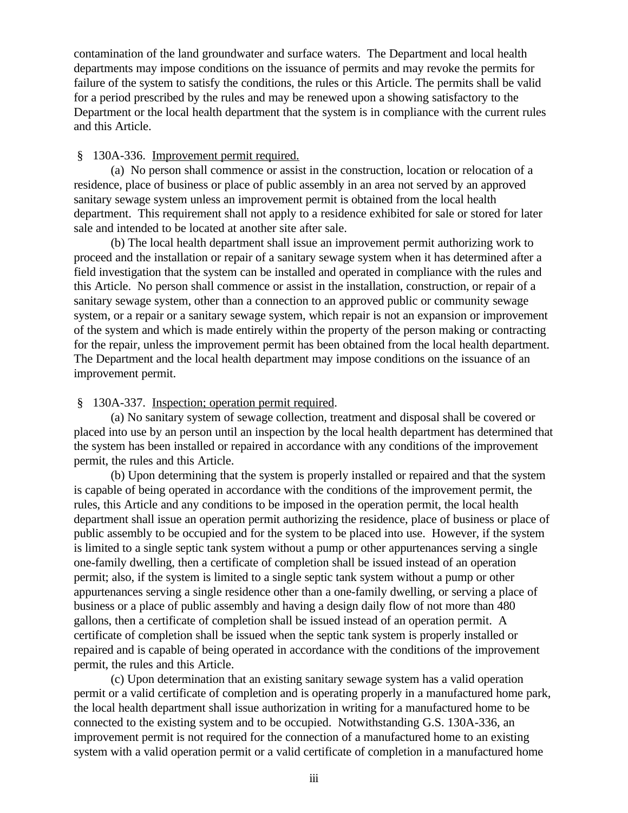contamination of the land groundwater and surface waters. The Department and local health departments may impose conditions on the issuance of permits and may revoke the permits for failure of the system to satisfy the conditions, the rules or this Article. The permits shall be valid for a period prescribed by the rules and may be renewed upon a showing satisfactory to the Department or the local health department that the system is in compliance with the current rules and this Article.

#### § 130A-336. Improvement permit required.

(a) No person shall commence or assist in the construction, location or relocation of a residence, place of business or place of public assembly in an area not served by an approved sanitary sewage system unless an improvement permit is obtained from the local health department. This requirement shall not apply to a residence exhibited for sale or stored for later sale and intended to be located at another site after sale.

(b) The local health department shall issue an improvement permit authorizing work to proceed and the installation or repair of a sanitary sewage system when it has determined after a field investigation that the system can be installed and operated in compliance with the rules and this Article. No person shall commence or assist in the installation, construction, or repair of a sanitary sewage system, other than a connection to an approved public or community sewage system, or a repair or a sanitary sewage system, which repair is not an expansion or improvement of the system and which is made entirely within the property of the person making or contracting for the repair, unless the improvement permit has been obtained from the local health department. The Department and the local health department may impose conditions on the issuance of an improvement permit.

#### § 130A-337. Inspection; operation permit required.

(a) No sanitary system of sewage collection, treatment and disposal shall be covered or placed into use by an person until an inspection by the local health department has determined that the system has been installed or repaired in accordance with any conditions of the improvement permit, the rules and this Article.

(b) Upon determining that the system is properly installed or repaired and that the system is capable of being operated in accordance with the conditions of the improvement permit, the rules, this Article and any conditions to be imposed in the operation permit, the local health department shall issue an operation permit authorizing the residence, place of business or place of public assembly to be occupied and for the system to be placed into use. However, if the system is limited to a single septic tank system without a pump or other appurtenances serving a single one-family dwelling, then a certificate of completion shall be issued instead of an operation permit; also, if the system is limited to a single septic tank system without a pump or other appurtenances serving a single residence other than a one-family dwelling, or serving a place of business or a place of public assembly and having a design daily flow of not more than 480 gallons, then a certificate of completion shall be issued instead of an operation permit. A certificate of completion shall be issued when the septic tank system is properly installed or repaired and is capable of being operated in accordance with the conditions of the improvement permit, the rules and this Article.

(c) Upon determination that an existing sanitary sewage system has a valid operation permit or a valid certificate of completion and is operating properly in a manufactured home park, the local health department shall issue authorization in writing for a manufactured home to be connected to the existing system and to be occupied. Notwithstanding G.S. 130A-336, an improvement permit is not required for the connection of a manufactured home to an existing system with a valid operation permit or a valid certificate of completion in a manufactured home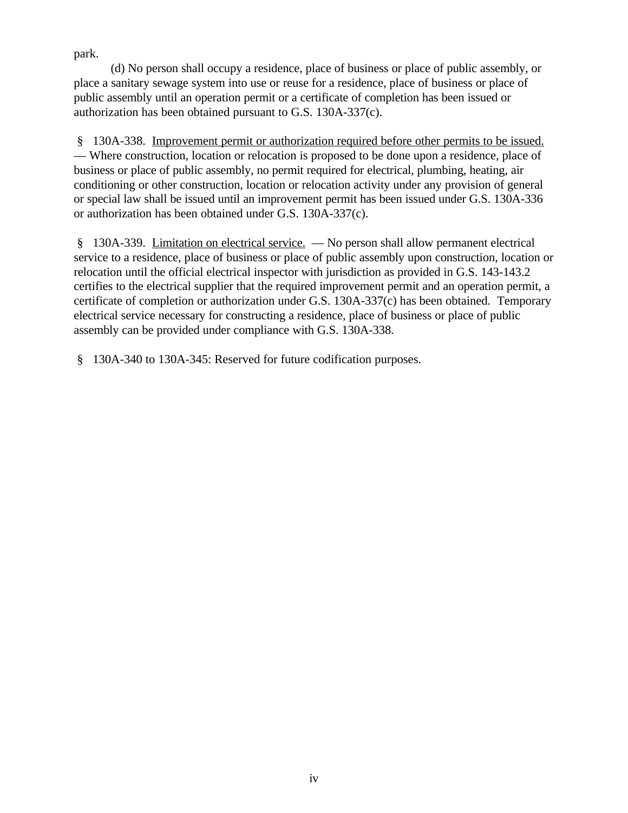park.

(d) No person shall occupy a residence, place of business or place of public assembly, or place a sanitary sewage system into use or reuse for a residence, place of business or place of public assembly until an operation permit or a certificate of completion has been issued or authorization has been obtained pursuant to G.S. 130A-337(c).

 § 130A-338. Improvement permit or authorization required before other permits to be issued. — Where construction, location or relocation is proposed to be done upon a residence, place of business or place of public assembly, no permit required for electrical, plumbing, heating, air conditioning or other construction, location or relocation activity under any provision of general or special law shall be issued until an improvement permit has been issued under G.S. 130A-336 or authorization has been obtained under G.S. 130A-337(c).

 § 130A-339. Limitation on electrical service. — No person shall allow permanent electrical service to a residence, place of business or place of public assembly upon construction, location or relocation until the official electrical inspector with jurisdiction as provided in G.S. 143-143.2 certifies to the electrical supplier that the required improvement permit and an operation permit, a certificate of completion or authorization under G.S. 130A-337(c) has been obtained. Temporary electrical service necessary for constructing a residence, place of business or place of public assembly can be provided under compliance with G.S. 130A-338.

§ 130A-340 to 130A-345: Reserved for future codification purposes.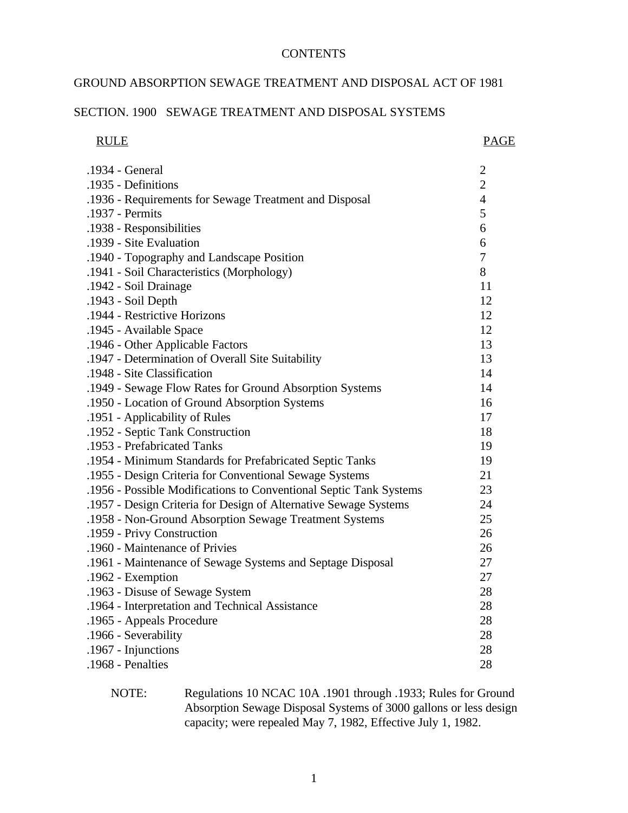#### **CONTENTS**

## GROUND ABSORPTION SEWAGE TREATMENT AND DISPOSAL ACT OF 1981

#### SECTION. 1900 SEWAGE TREATMENT AND DISPOSAL SYSTEMS

| <b>RULE</b>                                                        | <b>PAGE</b>      |
|--------------------------------------------------------------------|------------------|
| .1934 - General                                                    | $\boldsymbol{2}$ |
| .1935 - Definitions                                                | $\overline{2}$   |
| .1936 - Requirements for Sewage Treatment and Disposal             | $\overline{4}$   |
| .1937 - Permits                                                    | 5                |
| .1938 - Responsibilities                                           | 6                |
| .1939 - Site Evaluation                                            | 6                |
| .1940 - Topography and Landscape Position                          | 7                |
| .1941 - Soil Characteristics (Morphology)                          | 8                |
| .1942 - Soil Drainage                                              | 11               |
| .1943 - Soil Depth                                                 | 12               |
| .1944 - Restrictive Horizons                                       | 12               |
| .1945 - Available Space                                            | 12               |
| .1946 - Other Applicable Factors                                   | 13               |
| .1947 - Determination of Overall Site Suitability                  | 13               |
| .1948 - Site Classification                                        | 14               |
| .1949 - Sewage Flow Rates for Ground Absorption Systems            | 14               |
| .1950 - Location of Ground Absorption Systems                      | 16               |
| .1951 - Applicability of Rules                                     | 17               |
| .1952 - Septic Tank Construction                                   | 18               |
| .1953 - Prefabricated Tanks                                        | 19               |
| .1954 - Minimum Standards for Prefabricated Septic Tanks           | 19               |
| .1955 - Design Criteria for Conventional Sewage Systems            | 21               |
| .1956 - Possible Modifications to Conventional Septic Tank Systems | 23               |
| .1957 - Design Criteria for Design of Alternative Sewage Systems   | 24               |
| .1958 - Non-Ground Absorption Sewage Treatment Systems             | 25               |
| .1959 - Privy Construction                                         | 26               |
| .1960 - Maintenance of Privies                                     | 26               |
| .1961 - Maintenance of Sewage Systems and Septage Disposal         | 27               |
| .1962 - Exemption                                                  | 27               |
| .1963 - Disuse of Sewage System                                    | 28               |
| .1964 - Interpretation and Technical Assistance                    | 28               |
| .1965 - Appeals Procedure                                          | 28               |
| .1966 - Severability                                               | 28               |
| .1967 - Injunctions                                                | 28               |
| .1968 - Penalties                                                  | 28               |

NOTE: Regulations 10 NCAC 10A .1901 through .1933; Rules for Ground Absorption Sewage Disposal Systems of 3000 gallons or less design capacity; were repealed May 7, 1982, Effective July 1, 1982.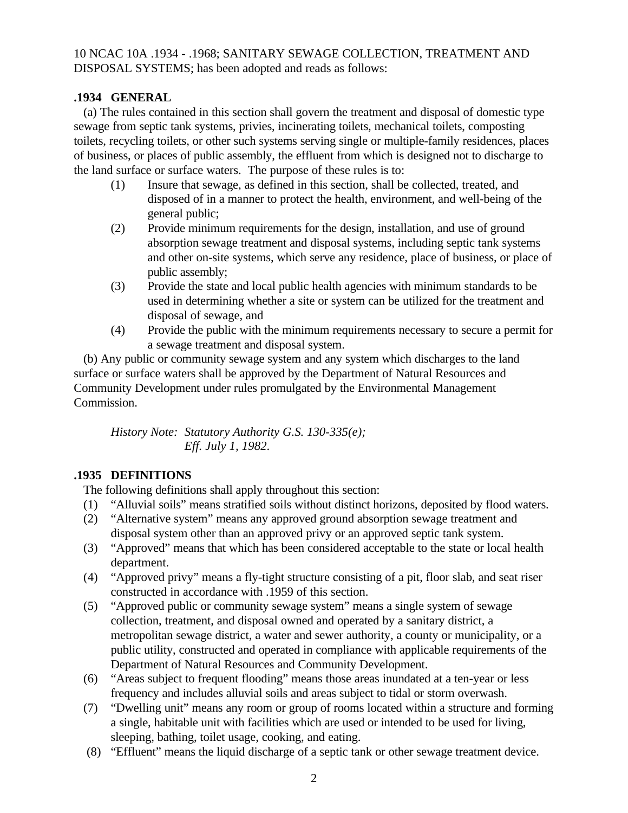# 10 NCAC 10A .1934 - .1968; SANITARY SEWAGE COLLECTION, TREATMENT AND DISPOSAL SYSTEMS; has been adopted and reads as follows:

## **.1934 GENERAL**

 (a) The rules contained in this section shall govern the treatment and disposal of domestic type sewage from septic tank systems, privies, incinerating toilets, mechanical toilets, composting toilets, recycling toilets, or other such systems serving single or multiple-family residences, places of business, or places of public assembly, the effluent from which is designed not to discharge to the land surface or surface waters. The purpose of these rules is to:

- (1) Insure that sewage, as defined in this section, shall be collected, treated, and disposed of in a manner to protect the health, environment, and well-being of the general public;
- (2) Provide minimum requirements for the design, installation, and use of ground absorption sewage treatment and disposal systems, including septic tank systems and other on-site systems, which serve any residence, place of business, or place of public assembly;
- (3) Provide the state and local public health agencies with minimum standards to be used in determining whether a site or system can be utilized for the treatment and disposal of sewage, and
- (4) Provide the public with the minimum requirements necessary to secure a permit for a sewage treatment and disposal system.

 (b) Any public or community sewage system and any system which discharges to the land surface or surface waters shall be approved by the Department of Natural Resources and Community Development under rules promulgated by the Environmental Management Commission.

*History Note: Statutory Authority G.S. 130-335(e); Eff. July 1, 1982*.

# **.1935 DEFINITIONS**

The following definitions shall apply throughout this section:

- (1) "Alluvial soils" means stratified soils without distinct horizons, deposited by flood waters.
- (2) "Alternative system" means any approved ground absorption sewage treatment and disposal system other than an approved privy or an approved septic tank system.
- (3) "Approved" means that which has been considered acceptable to the state or local health department.
- (4) "Approved privy" means a fly-tight structure consisting of a pit, floor slab, and seat riser constructed in accordance with .1959 of this section.
- (5) "Approved public or community sewage system" means a single system of sewage collection, treatment, and disposal owned and operated by a sanitary district, a metropolitan sewage district, a water and sewer authority, a county or municipality, or a public utility, constructed and operated in compliance with applicable requirements of the Department of Natural Resources and Community Development.
- (6) "Areas subject to frequent flooding" means those areas inundated at a ten-year or less frequency and includes alluvial soils and areas subject to tidal or storm overwash.
- (7) "Dwelling unit" means any room or group of rooms located within a structure and forming a single, habitable unit with facilities which are used or intended to be used for living, sleeping, bathing, toilet usage, cooking, and eating.
- (8) "Effluent" means the liquid discharge of a septic tank or other sewage treatment device.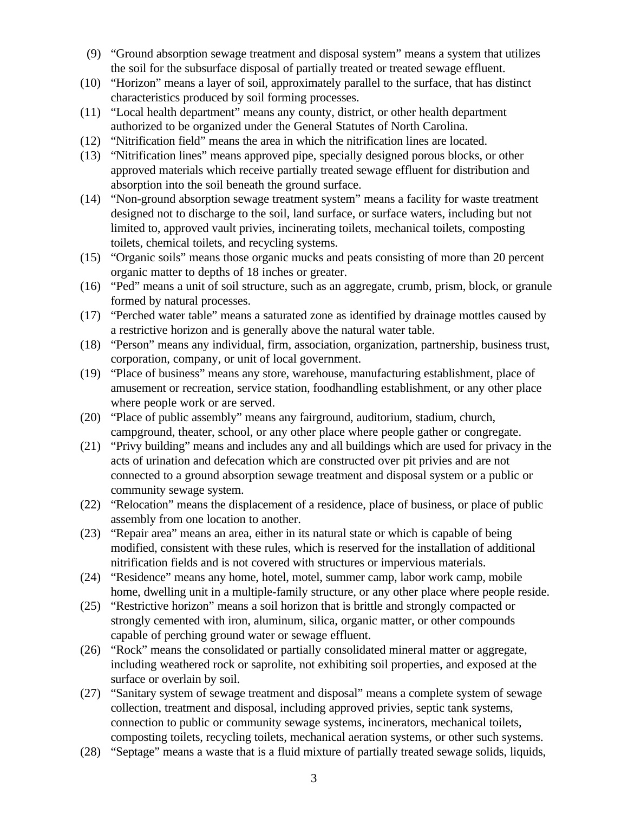- (9) "Ground absorption sewage treatment and disposal system" means a system that utilizes the soil for the subsurface disposal of partially treated or treated sewage effluent.
- (10) "Horizon" means a layer of soil, approximately parallel to the surface, that has distinct characteristics produced by soil forming processes.
- (11) "Local health department" means any county, district, or other health department authorized to be organized under the General Statutes of North Carolina.
- (12) "Nitrification field" means the area in which the nitrification lines are located.
- (13) "Nitrification lines" means approved pipe, specially designed porous blocks, or other approved materials which receive partially treated sewage effluent for distribution and absorption into the soil beneath the ground surface.
- (14) "Non-ground absorption sewage treatment system" means a facility for waste treatment designed not to discharge to the soil, land surface, or surface waters, including but not limited to, approved vault privies, incinerating toilets, mechanical toilets, composting toilets, chemical toilets, and recycling systems.
- (15) "Organic soils" means those organic mucks and peats consisting of more than 20 percent organic matter to depths of 18 inches or greater.
- (16) "Ped" means a unit of soil structure, such as an aggregate, crumb, prism, block, or granule formed by natural processes.
- (17) "Perched water table" means a saturated zone as identified by drainage mottles caused by a restrictive horizon and is generally above the natural water table.
- (18) "Person" means any individual, firm, association, organization, partnership, business trust, corporation, company, or unit of local government.
- (19) "Place of business" means any store, warehouse, manufacturing establishment, place of amusement or recreation, service station, foodhandling establishment, or any other place where people work or are served.
- (20) "Place of public assembly" means any fairground, auditorium, stadium, church, campground, theater, school, or any other place where people gather or congregate.
- (21) "Privy building" means and includes any and all buildings which are used for privacy in the acts of urination and defecation which are constructed over pit privies and are not connected to a ground absorption sewage treatment and disposal system or a public or community sewage system.
- (22) "Relocation" means the displacement of a residence, place of business, or place of public assembly from one location to another.
- (23) "Repair area" means an area, either in its natural state or which is capable of being modified, consistent with these rules, which is reserved for the installation of additional nitrification fields and is not covered with structures or impervious materials.
- (24) "Residence" means any home, hotel, motel, summer camp, labor work camp, mobile home, dwelling unit in a multiple-family structure, or any other place where people reside.
- (25) "Restrictive horizon" means a soil horizon that is brittle and strongly compacted or strongly cemented with iron, aluminum, silica, organic matter, or other compounds capable of perching ground water or sewage effluent.
- (26) "Rock" means the consolidated or partially consolidated mineral matter or aggregate, including weathered rock or saprolite, not exhibiting soil properties, and exposed at the surface or overlain by soil.
- (27) "Sanitary system of sewage treatment and disposal" means a complete system of sewage collection, treatment and disposal, including approved privies, septic tank systems, connection to public or community sewage systems, incinerators, mechanical toilets, composting toilets, recycling toilets, mechanical aeration systems, or other such systems.
- (28) "Septage" means a waste that is a fluid mixture of partially treated sewage solids, liquids,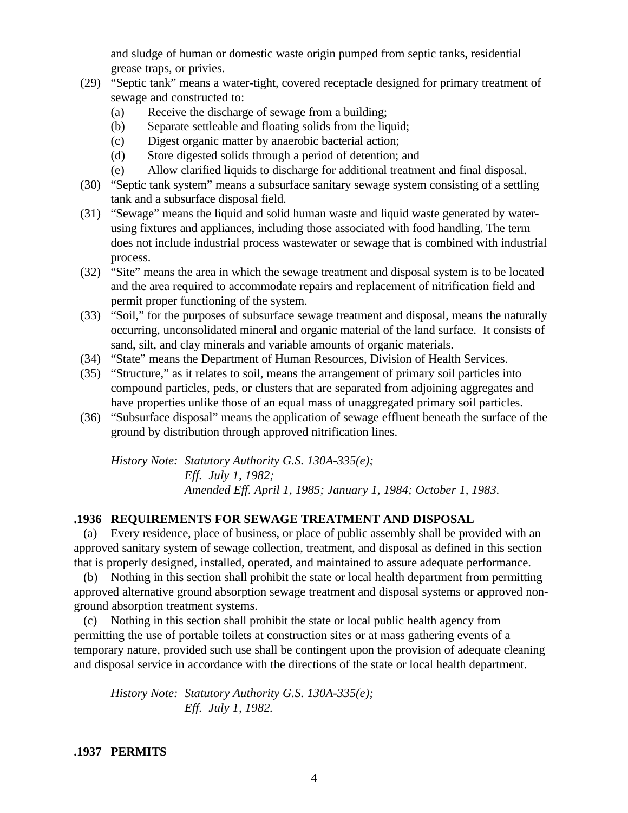and sludge of human or domestic waste origin pumped from septic tanks, residential grease traps, or privies.

- (29) "Septic tank" means a water-tight, covered receptacle designed for primary treatment of sewage and constructed to:
	- (a) Receive the discharge of sewage from a building;
	- (b) Separate settleable and floating solids from the liquid;
	- (c) Digest organic matter by anaerobic bacterial action;
	- (d) Store digested solids through a period of detention; and
	- (e) Allow clarified liquids to discharge for additional treatment and final disposal.
- (30) "Septic tank system" means a subsurface sanitary sewage system consisting of a settling tank and a subsurface disposal field.
- (31) "Sewage" means the liquid and solid human waste and liquid waste generated by waterusing fixtures and appliances, including those associated with food handling. The term does not include industrial process wastewater or sewage that is combined with industrial process.
- (32) "Site" means the area in which the sewage treatment and disposal system is to be located and the area required to accommodate repairs and replacement of nitrification field and permit proper functioning of the system.
- (33) "Soil," for the purposes of subsurface sewage treatment and disposal, means the naturally occurring, unconsolidated mineral and organic material of the land surface. It consists of sand, silt, and clay minerals and variable amounts of organic materials.
- (34) "State" means the Department of Human Resources, Division of Health Services.
- (35) "Structure," as it relates to soil, means the arrangement of primary soil particles into compound particles, peds, or clusters that are separated from adjoining aggregates and have properties unlike those of an equal mass of unaggregated primary soil particles.
- (36) "Subsurface disposal" means the application of sewage effluent beneath the surface of the ground by distribution through approved nitrification lines.

*History Note: Statutory Authority G.S. 130A-335(e); Eff. July 1, 1982; Amended Eff. April 1, 1985; January 1, 1984; October 1, 1983.*

## **.1936 REQUIREMENTS FOR SEWAGE TREATMENT AND DISPOSAL**

 (a) Every residence, place of business, or place of public assembly shall be provided with an approved sanitary system of sewage collection, treatment, and disposal as defined in this section that is properly designed, installed, operated, and maintained to assure adequate performance.

 (b) Nothing in this section shall prohibit the state or local health department from permitting approved alternative ground absorption sewage treatment and disposal systems or approved nonground absorption treatment systems.

 (c) Nothing in this section shall prohibit the state or local public health agency from permitting the use of portable toilets at construction sites or at mass gathering events of a temporary nature, provided such use shall be contingent upon the provision of adequate cleaning and disposal service in accordance with the directions of the state or local health department.

*History Note: Statutory Authority G.S. 130A-335(e); Eff. July 1, 1982.*

**.1937 PERMITS**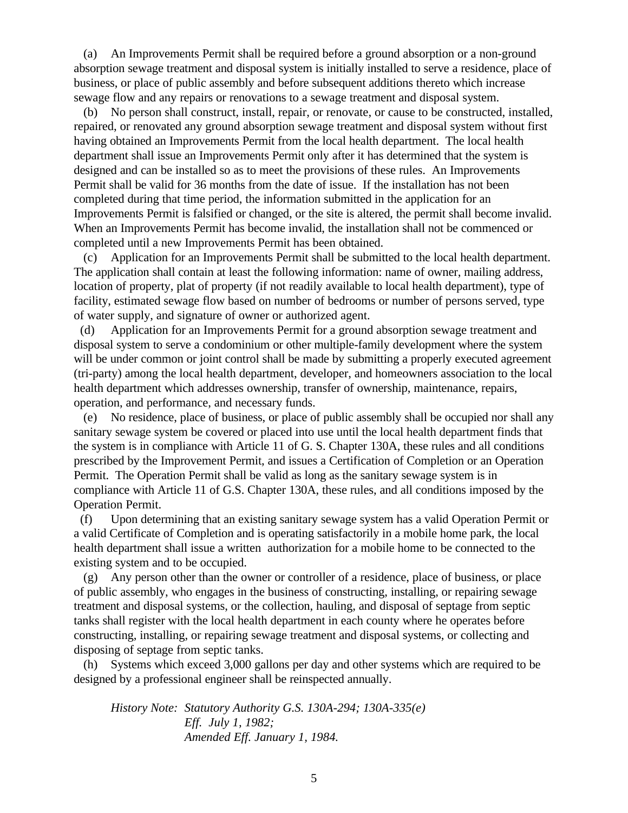(a) An Improvements Permit shall be required before a ground absorption or a non-ground absorption sewage treatment and disposal system is initially installed to serve a residence, place of business, or place of public assembly and before subsequent additions thereto which increase sewage flow and any repairs or renovations to a sewage treatment and disposal system.

 (b) No person shall construct, install, repair, or renovate, or cause to be constructed, installed, repaired, or renovated any ground absorption sewage treatment and disposal system without first having obtained an Improvements Permit from the local health department. The local health department shall issue an Improvements Permit only after it has determined that the system is designed and can be installed so as to meet the provisions of these rules. An Improvements Permit shall be valid for 36 months from the date of issue. If the installation has not been completed during that time period, the information submitted in the application for an Improvements Permit is falsified or changed, or the site is altered, the permit shall become invalid. When an Improvements Permit has become invalid, the installation shall not be commenced or completed until a new Improvements Permit has been obtained.

 (c) Application for an Improvements Permit shall be submitted to the local health department. The application shall contain at least the following information: name of owner, mailing address, location of property, plat of property (if not readily available to local health department), type of facility, estimated sewage flow based on number of bedrooms or number of persons served, type of water supply, and signature of owner or authorized agent.

 (d) Application for an Improvements Permit for a ground absorption sewage treatment and disposal system to serve a condominium or other multiple-family development where the system will be under common or joint control shall be made by submitting a properly executed agreement (tri-party) among the local health department, developer, and homeowners association to the local health department which addresses ownership, transfer of ownership, maintenance, repairs, operation, and performance, and necessary funds.

 (e) No residence, place of business, or place of public assembly shall be occupied nor shall any sanitary sewage system be covered or placed into use until the local health department finds that the system is in compliance with Article 11 of G. S. Chapter 130A, these rules and all conditions prescribed by the Improvement Permit, and issues a Certification of Completion or an Operation Permit. The Operation Permit shall be valid as long as the sanitary sewage system is in compliance with Article 11 of G.S. Chapter 130A, these rules, and all conditions imposed by the Operation Permit.

 (f) Upon determining that an existing sanitary sewage system has a valid Operation Permit or a valid Certificate of Completion and is operating satisfactorily in a mobile home park, the local health department shall issue a written authorization for a mobile home to be connected to the existing system and to be occupied.

 (g) Any person other than the owner or controller of a residence, place of business, or place of public assembly, who engages in the business of constructing, installing, or repairing sewage treatment and disposal systems, or the collection, hauling, and disposal of septage from septic tanks shall register with the local health department in each county where he operates before constructing, installing, or repairing sewage treatment and disposal systems, or collecting and disposing of septage from septic tanks.

 (h) Systems which exceed 3,000 gallons per day and other systems which are required to be designed by a professional engineer shall be reinspected annually.

*History Note: Statutory Authority G.S. 130A-294; 130A-335(e) Eff. July 1, 1982; Amended Eff. January 1, 1984.*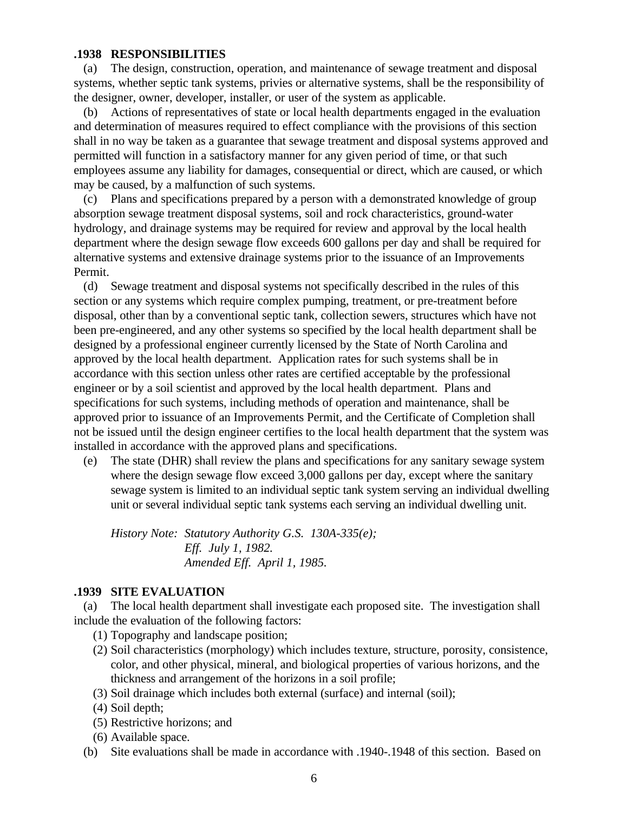#### **.1938 RESPONSIBILITIES**

 (a) The design, construction, operation, and maintenance of sewage treatment and disposal systems, whether septic tank systems, privies or alternative systems, shall be the responsibility of the designer, owner, developer, installer, or user of the system as applicable.

 (b) Actions of representatives of state or local health departments engaged in the evaluation and determination of measures required to effect compliance with the provisions of this section shall in no way be taken as a guarantee that sewage treatment and disposal systems approved and permitted will function in a satisfactory manner for any given period of time, or that such employees assume any liability for damages, consequential or direct, which are caused, or which may be caused, by a malfunction of such systems.

 (c) Plans and specifications prepared by a person with a demonstrated knowledge of group absorption sewage treatment disposal systems, soil and rock characteristics, ground-water hydrology, and drainage systems may be required for review and approval by the local health department where the design sewage flow exceeds 600 gallons per day and shall be required for alternative systems and extensive drainage systems prior to the issuance of an Improvements Permit.

 (d) Sewage treatment and disposal systems not specifically described in the rules of this section or any systems which require complex pumping, treatment, or pre-treatment before disposal, other than by a conventional septic tank, collection sewers, structures which have not been pre-engineered, and any other systems so specified by the local health department shall be designed by a professional engineer currently licensed by the State of North Carolina and approved by the local health department. Application rates for such systems shall be in accordance with this section unless other rates are certified acceptable by the professional engineer or by a soil scientist and approved by the local health department. Plans and specifications for such systems, including methods of operation and maintenance, shall be approved prior to issuance of an Improvements Permit, and the Certificate of Completion shall not be issued until the design engineer certifies to the local health department that the system was installed in accordance with the approved plans and specifications.

 (e) The state (DHR) shall review the plans and specifications for any sanitary sewage system where the design sewage flow exceed 3,000 gallons per day, except where the sanitary sewage system is limited to an individual septic tank system serving an individual dwelling unit or several individual septic tank systems each serving an individual dwelling unit.

*History Note: Statutory Authority G.S. 130A-335(e); Eff. July 1, 1982. Amended Eff. April 1, 1985.*

#### **.1939 SITE EVALUATION**

 (a) The local health department shall investigate each proposed site. The investigation shall include the evaluation of the following factors:

- (1) Topography and landscape position;
- (2) Soil characteristics (morphology) which includes texture, structure, porosity, consistence, color, and other physical, mineral, and biological properties of various horizons, and the thickness and arrangement of the horizons in a soil profile;
- (3) Soil drainage which includes both external (surface) and internal (soil);
- (4) Soil depth;
- (5) Restrictive horizons; and
- (6) Available space.
- (b) Site evaluations shall be made in accordance with .1940-.1948 of this section. Based on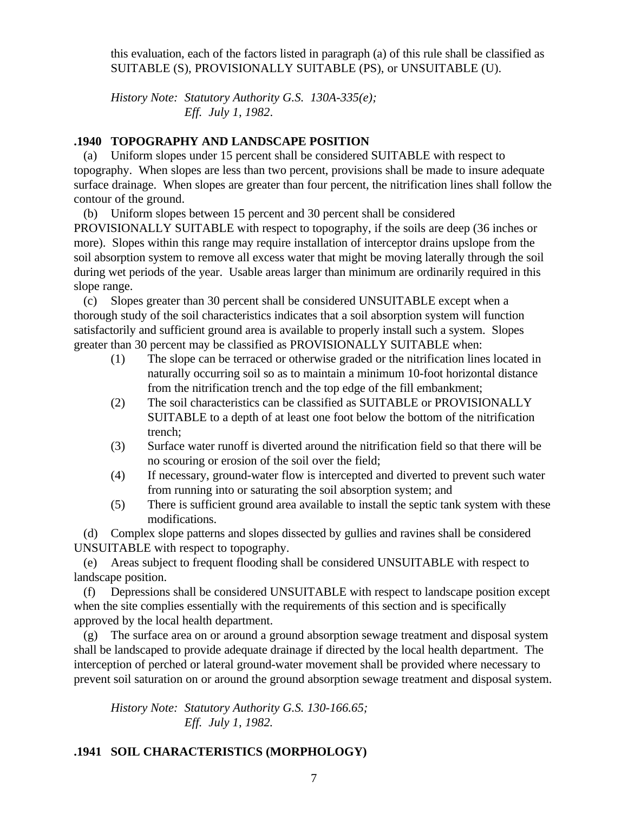this evaluation, each of the factors listed in paragraph (a) of this rule shall be classified as SUITABLE (S), PROVISIONALLY SUITABLE (PS), or UNSUITABLE (U).

*History Note: Statutory Authority G.S. 130A-335(e); Eff. July 1, 1982*.

## **.1940 TOPOGRAPHY AND LANDSCAPE POSITION**

 (a) Uniform slopes under 15 percent shall be considered SUITABLE with respect to topography. When slopes are less than two percent, provisions shall be made to insure adequate surface drainage. When slopes are greater than four percent, the nitrification lines shall follow the contour of the ground.

(b) Uniform slopes between 15 percent and 30 percent shall be considered

PROVISIONALLY SUITABLE with respect to topography, if the soils are deep (36 inches or more). Slopes within this range may require installation of interceptor drains upslope from the soil absorption system to remove all excess water that might be moving laterally through the soil during wet periods of the year. Usable areas larger than minimum are ordinarily required in this slope range.

 (c) Slopes greater than 30 percent shall be considered UNSUITABLE except when a thorough study of the soil characteristics indicates that a soil absorption system will function satisfactorily and sufficient ground area is available to properly install such a system. Slopes greater than 30 percent may be classified as PROVISIONALLY SUITABLE when:

- (1) The slope can be terraced or otherwise graded or the nitrification lines located in naturally occurring soil so as to maintain a minimum 10-foot horizontal distance from the nitrification trench and the top edge of the fill embankment;
- (2) The soil characteristics can be classified as SUITABLE or PROVISIONALLY SUITABLE to a depth of at least one foot below the bottom of the nitrification trench;
- (3) Surface water runoff is diverted around the nitrification field so that there will be no scouring or erosion of the soil over the field;
- (4) If necessary, ground-water flow is intercepted and diverted to prevent such water from running into or saturating the soil absorption system; and
- (5) There is sufficient ground area available to install the septic tank system with these modifications.

 (d) Complex slope patterns and slopes dissected by gullies and ravines shall be considered UNSUITABLE with respect to topography.

 (e) Areas subject to frequent flooding shall be considered UNSUITABLE with respect to landscape position.

 (f) Depressions shall be considered UNSUITABLE with respect to landscape position except when the site complies essentially with the requirements of this section and is specifically approved by the local health department.

 (g) The surface area on or around a ground absorption sewage treatment and disposal system shall be landscaped to provide adequate drainage if directed by the local health department. The interception of perched or lateral ground-water movement shall be provided where necessary to prevent soil saturation on or around the ground absorption sewage treatment and disposal system.

*History Note: Statutory Authority G.S. 130-166.65; Eff. July 1, 1982.*

# **.1941 SOIL CHARACTERISTICS (MORPHOLOGY)**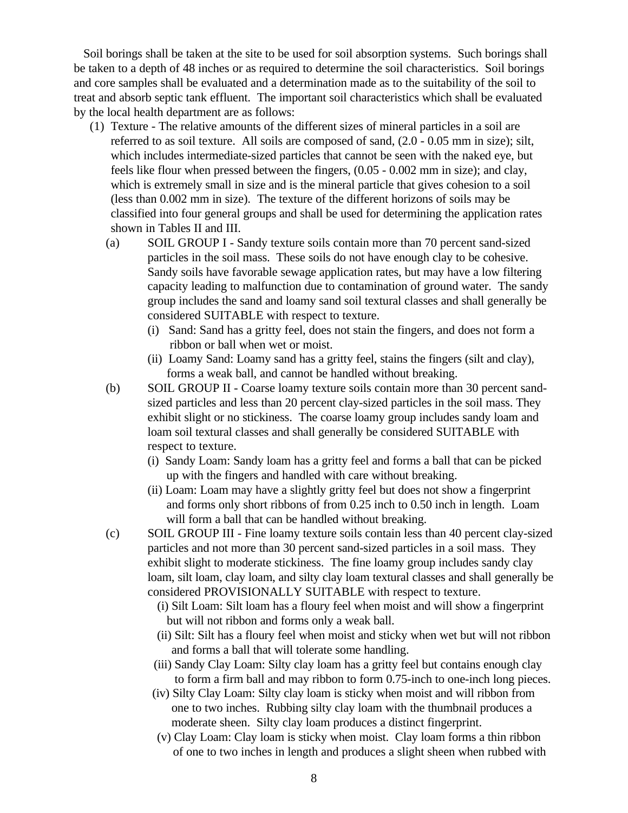Soil borings shall be taken at the site to be used for soil absorption systems. Such borings shall be taken to a depth of 48 inches or as required to determine the soil characteristics. Soil borings and core samples shall be evaluated and a determination made as to the suitability of the soil to treat and absorb septic tank effluent. The important soil characteristics which shall be evaluated by the local health department are as follows:

- (1) Texture The relative amounts of the different sizes of mineral particles in a soil are referred to as soil texture. All soils are composed of sand, (2.0 - 0.05 mm in size); silt, which includes intermediate-sized particles that cannot be seen with the naked eye, but feels like flour when pressed between the fingers, (0.05 - 0.002 mm in size); and clay, which is extremely small in size and is the mineral particle that gives cohesion to a soil (less than 0.002 mm in size). The texture of the different horizons of soils may be classified into four general groups and shall be used for determining the application rates shown in Tables II and III.
	- (a) SOIL GROUP I Sandy texture soils contain more than 70 percent sand-sized particles in the soil mass. These soils do not have enough clay to be cohesive. Sandy soils have favorable sewage application rates, but may have a low filtering capacity leading to malfunction due to contamination of ground water. The sandy group includes the sand and loamy sand soil textural classes and shall generally be considered SUITABLE with respect to texture.
		- (i) Sand: Sand has a gritty feel, does not stain the fingers, and does not form a ribbon or ball when wet or moist.
		- (ii) Loamy Sand: Loamy sand has a gritty feel, stains the fingers (silt and clay), forms a weak ball, and cannot be handled without breaking.
	- (b) SOIL GROUP II Coarse loamy texture soils contain more than 30 percent sandsized particles and less than 20 percent clay-sized particles in the soil mass. They exhibit slight or no stickiness. The coarse loamy group includes sandy loam and loam soil textural classes and shall generally be considered SUITABLE with respect to texture.
		- (i) Sandy Loam: Sandy loam has a gritty feel and forms a ball that can be picked up with the fingers and handled with care without breaking.
		- (ii) Loam: Loam may have a slightly gritty feel but does not show a fingerprint and forms only short ribbons of from 0.25 inch to 0.50 inch in length. Loam will form a ball that can be handled without breaking.
	- (c) SOIL GROUP III Fine loamy texture soils contain less than 40 percent clay-sized particles and not more than 30 percent sand-sized particles in a soil mass. They exhibit slight to moderate stickiness. The fine loamy group includes sandy clay loam, silt loam, clay loam, and silty clay loam textural classes and shall generally be considered PROVISIONALLY SUITABLE with respect to texture.
		- (i) Silt Loam: Silt loam has a floury feel when moist and will show a fingerprint but will not ribbon and forms only a weak ball.
		- (ii) Silt: Silt has a floury feel when moist and sticky when wet but will not ribbon and forms a ball that will tolerate some handling.
		- (iii) Sandy Clay Loam: Silty clay loam has a gritty feel but contains enough clay to form a firm ball and may ribbon to form 0.75-inch to one-inch long pieces.
		- (iv) Silty Clay Loam: Silty clay loam is sticky when moist and will ribbon from one to two inches. Rubbing silty clay loam with the thumbnail produces a moderate sheen. Silty clay loam produces a distinct fingerprint.
		- (v) Clay Loam: Clay loam is sticky when moist. Clay loam forms a thin ribbon of one to two inches in length and produces a slight sheen when rubbed with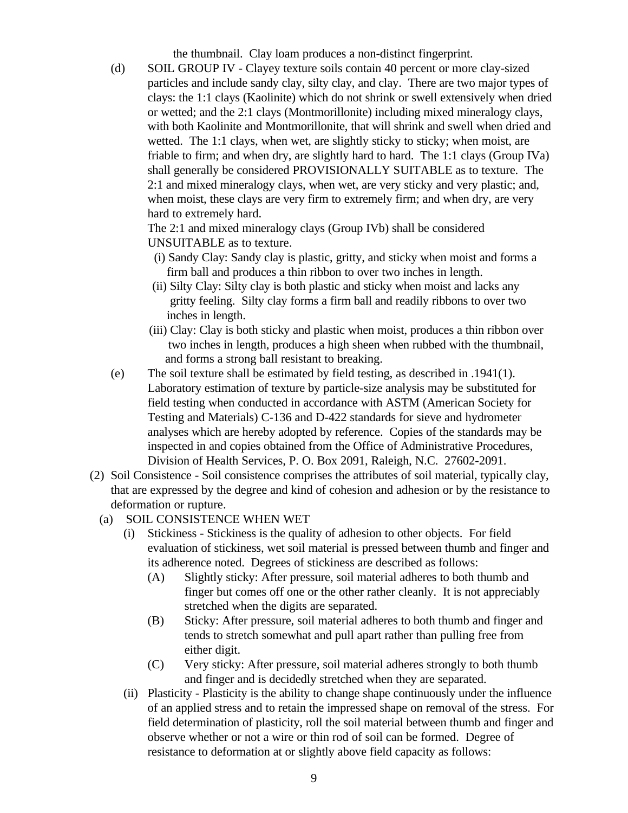the thumbnail. Clay loam produces a non-distinct fingerprint.

(d) SOIL GROUP IV - Clayey texture soils contain 40 percent or more clay-sized particles and include sandy clay, silty clay, and clay. There are two major types of clays: the 1:1 clays (Kaolinite) which do not shrink or swell extensively when dried or wetted; and the 2:1 clays (Montmorillonite) including mixed mineralogy clays, with both Kaolinite and Montmorillonite, that will shrink and swell when dried and wetted. The 1:1 clays, when wet, are slightly sticky to sticky; when moist, are friable to firm; and when dry, are slightly hard to hard. The 1:1 clays (Group IVa) shall generally be considered PROVISIONALLY SUITABLE as to texture. The 2:1 and mixed mineralogy clays, when wet, are very sticky and very plastic; and, when moist, these clays are very firm to extremely firm; and when dry, are very hard to extremely hard.

The 2:1 and mixed mineralogy clays (Group IVb) shall be considered UNSUITABLE as to texture.

- (i) Sandy Clay: Sandy clay is plastic, gritty, and sticky when moist and forms a firm ball and produces a thin ribbon to over two inches in length.
- (ii) Silty Clay: Silty clay is both plastic and sticky when moist and lacks any gritty feeling. Silty clay forms a firm ball and readily ribbons to over two inches in length.
- (iii) Clay: Clay is both sticky and plastic when moist, produces a thin ribbon over two inches in length, produces a high sheen when rubbed with the thumbnail, and forms a strong ball resistant to breaking.
- (e) The soil texture shall be estimated by field testing, as described in .1941(1). Laboratory estimation of texture by particle-size analysis may be substituted for field testing when conducted in accordance with ASTM (American Society for Testing and Materials) C-136 and D-422 standards for sieve and hydrometer analyses which are hereby adopted by reference. Copies of the standards may be inspected in and copies obtained from the Office of Administrative Procedures, Division of Health Services, P. O. Box 2091, Raleigh, N.C. 27602-2091.
- (2) Soil Consistence Soil consistence comprises the attributes of soil material, typically clay, that are expressed by the degree and kind of cohesion and adhesion or by the resistance to deformation or rupture.
	- (a) SOIL CONSISTENCE WHEN WET
		- (i) Stickiness Stickiness is the quality of adhesion to other objects. For field evaluation of stickiness, wet soil material is pressed between thumb and finger and its adherence noted. Degrees of stickiness are described as follows:
			- (A) Slightly sticky: After pressure, soil material adheres to both thumb and finger but comes off one or the other rather cleanly. It is not appreciably stretched when the digits are separated.
			- (B) Sticky: After pressure, soil material adheres to both thumb and finger and tends to stretch somewhat and pull apart rather than pulling free from either digit.
			- (C) Very sticky: After pressure, soil material adheres strongly to both thumb and finger and is decidedly stretched when they are separated.
		- (ii) Plasticity Plasticity is the ability to change shape continuously under the influence of an applied stress and to retain the impressed shape on removal of the stress. For field determination of plasticity, roll the soil material between thumb and finger and observe whether or not a wire or thin rod of soil can be formed. Degree of resistance to deformation at or slightly above field capacity as follows: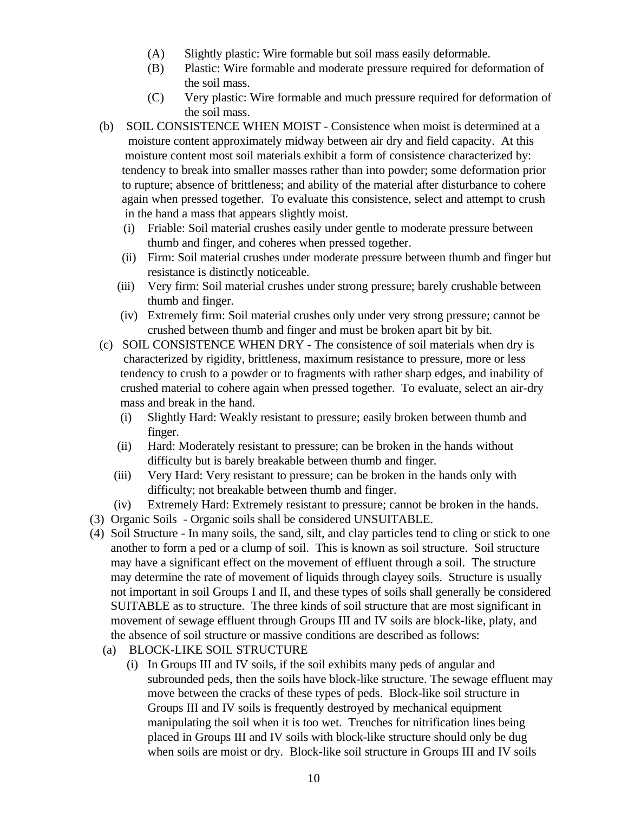- (A) Slightly plastic: Wire formable but soil mass easily deformable.
- (B) Plastic: Wire formable and moderate pressure required for deformation of the soil mass.
- (C) Very plastic: Wire formable and much pressure required for deformation of the soil mass.
- (b) SOIL CONSISTENCE WHEN MOIST Consistence when moist is determined at a moisture content approximately midway between air dry and field capacity. At this moisture content most soil materials exhibit a form of consistence characterized by: tendency to break into smaller masses rather than into powder; some deformation prior to rupture; absence of brittleness; and ability of the material after disturbance to cohere again when pressed together. To evaluate this consistence, select and attempt to crush in the hand a mass that appears slightly moist.
	- (i) Friable: Soil material crushes easily under gentle to moderate pressure between thumb and finger, and coheres when pressed together.
	- (ii) Firm: Soil material crushes under moderate pressure between thumb and finger but resistance is distinctly noticeable.
	- (iii) Very firm: Soil material crushes under strong pressure; barely crushable between thumb and finger.
	- (iv) Extremely firm: Soil material crushes only under very strong pressure; cannot be crushed between thumb and finger and must be broken apart bit by bit.
- (c) SOIL CONSISTENCE WHEN DRY The consistence of soil materials when dry is characterized by rigidity, brittleness, maximum resistance to pressure, more or less tendency to crush to a powder or to fragments with rather sharp edges, and inability of crushed material to cohere again when pressed together. To evaluate, select an air-dry mass and break in the hand.
	- (i) Slightly Hard: Weakly resistant to pressure; easily broken between thumb and finger.
	- (ii) Hard: Moderately resistant to pressure; can be broken in the hands without difficulty but is barely breakable between thumb and finger.
	- (iii) Very Hard: Very resistant to pressure; can be broken in the hands only with difficulty; not breakable between thumb and finger.
	- (iv) Extremely Hard: Extremely resistant to pressure; cannot be broken in the hands.
- (3) Organic Soils Organic soils shall be considered UNSUITABLE.
- (4) Soil Structure In many soils, the sand, silt, and clay particles tend to cling or stick to one another to form a ped or a clump of soil. This is known as soil structure. Soil structure may have a significant effect on the movement of effluent through a soil. The structure may determine the rate of movement of liquids through clayey soils. Structure is usually not important in soil Groups I and II, and these types of soils shall generally be considered SUITABLE as to structure. The three kinds of soil structure that are most significant in movement of sewage effluent through Groups III and IV soils are block-like, platy, and the absence of soil structure or massive conditions are described as follows:
	- (a) BLOCK-LIKE SOIL STRUCTURE
		- (i) In Groups III and IV soils, if the soil exhibits many peds of angular and subrounded peds, then the soils have block-like structure. The sewage effluent may move between the cracks of these types of peds. Block-like soil structure in Groups III and IV soils is frequently destroyed by mechanical equipment manipulating the soil when it is too wet. Trenches for nitrification lines being placed in Groups III and IV soils with block-like structure should only be dug when soils are moist or dry. Block-like soil structure in Groups III and IV soils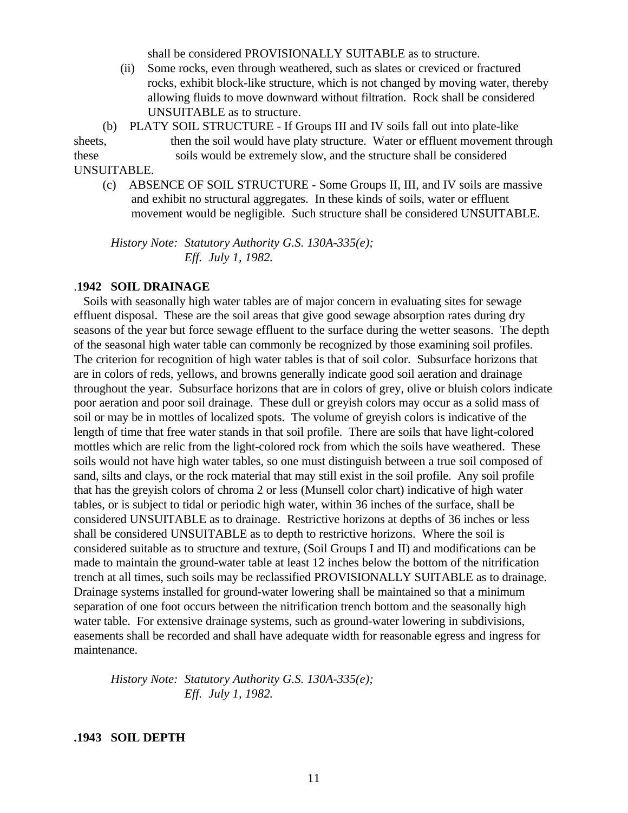shall be considered PROVISIONALLY SUITABLE as to structure.

 (ii) Some rocks, even through weathered, such as slates or creviced or fractured rocks, exhibit block-like structure, which is not changed by moving water, thereby allowing fluids to move downward without filtration. Rock shall be considered UNSUITABLE as to structure.

 (b) PLATY SOIL STRUCTURE - If Groups III and IV soils fall out into plate-like sheets, then the soil would have platy structure. Water or effluent movement through these soils would be extremely slow, and the structure shall be considered UNSUITABLE.

 (c) ABSENCE OF SOIL STRUCTURE - Some Groups II, III, and IV soils are massive and exhibit no structural aggregates. In these kinds of soils, water or effluent movement would be negligible. Such structure shall be considered UNSUITABLE.

*History Note: Statutory Authority G.S. 130A-335(e); Eff. July 1, 1982.*

#### .**1942 SOIL DRAINAGE**

 Soils with seasonally high water tables are of major concern in evaluating sites for sewage effluent disposal. These are the soil areas that give good sewage absorption rates during dry seasons of the year but force sewage effluent to the surface during the wetter seasons. The depth of the seasonal high water table can commonly be recognized by those examining soil profiles. The criterion for recognition of high water tables is that of soil color. Subsurface horizons that are in colors of reds, yellows, and browns generally indicate good soil aeration and drainage throughout the year. Subsurface horizons that are in colors of grey, olive or bluish colors indicate poor aeration and poor soil drainage. These dull or greyish colors may occur as a solid mass of soil or may be in mottles of localized spots. The volume of greyish colors is indicative of the length of time that free water stands in that soil profile. There are soils that have light-colored mottles which are relic from the light-colored rock from which the soils have weathered. These soils would not have high water tables, so one must distinguish between a true soil composed of sand, silts and clays, or the rock material that may still exist in the soil profile. Any soil profile that has the greyish colors of chroma 2 or less (Munsell color chart) indicative of high water tables, or is subject to tidal or periodic high water, within 36 inches of the surface, shall be considered UNSUITABLE as to drainage. Restrictive horizons at depths of 36 inches or less shall be considered UNSUITABLE as to depth to restrictive horizons. Where the soil is considered suitable as to structure and texture, (Soil Groups I and II) and modifications can be made to maintain the ground-water table at least 12 inches below the bottom of the nitrification trench at all times, such soils may be reclassified PROVISIONALLY SUITABLE as to drainage. Drainage systems installed for ground-water lowering shall be maintained so that a minimum separation of one foot occurs between the nitrification trench bottom and the seasonally high water table. For extensive drainage systems, such as ground-water lowering in subdivisions, easements shall be recorded and shall have adequate width for reasonable egress and ingress for maintenance.

*History Note: Statutory Authority G.S. 130A-335(e); Eff. July 1, 1982.*

#### **.1943 SOIL DEPTH**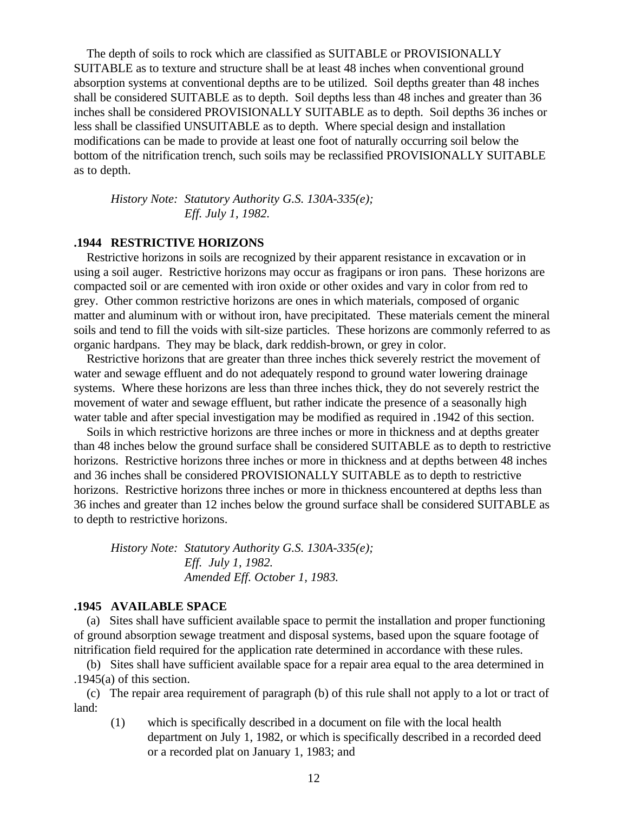The depth of soils to rock which are classified as SUITABLE or PROVISIONALLY SUITABLE as to texture and structure shall be at least 48 inches when conventional ground absorption systems at conventional depths are to be utilized. Soil depths greater than 48 inches shall be considered SUITABLE as to depth. Soil depths less than 48 inches and greater than 36 inches shall be considered PROVISIONALLY SUITABLE as to depth. Soil depths 36 inches or less shall be classified UNSUITABLE as to depth. Where special design and installation modifications can be made to provide at least one foot of naturally occurring soil below the bottom of the nitrification trench, such soils may be reclassified PROVISIONALLY SUITABLE as to depth.

*History Note: Statutory Authority G.S. 130A-335(e); Eff. July 1, 1982.*

### **.1944 RESTRICTIVE HORIZONS**

 Restrictive horizons in soils are recognized by their apparent resistance in excavation or in using a soil auger. Restrictive horizons may occur as fragipans or iron pans. These horizons are compacted soil or are cemented with iron oxide or other oxides and vary in color from red to grey. Other common restrictive horizons are ones in which materials, composed of organic matter and aluminum with or without iron, have precipitated. These materials cement the mineral soils and tend to fill the voids with silt-size particles. These horizons are commonly referred to as organic hardpans. They may be black, dark reddish-brown, or grey in color.

 Restrictive horizons that are greater than three inches thick severely restrict the movement of water and sewage effluent and do not adequately respond to ground water lowering drainage systems. Where these horizons are less than three inches thick, they do not severely restrict the movement of water and sewage effluent, but rather indicate the presence of a seasonally high water table and after special investigation may be modified as required in .1942 of this section.

 Soils in which restrictive horizons are three inches or more in thickness and at depths greater than 48 inches below the ground surface shall be considered SUITABLE as to depth to restrictive horizons. Restrictive horizons three inches or more in thickness and at depths between 48 inches and 36 inches shall be considered PROVISIONALLY SUITABLE as to depth to restrictive horizons. Restrictive horizons three inches or more in thickness encountered at depths less than 36 inches and greater than 12 inches below the ground surface shall be considered SUITABLE as to depth to restrictive horizons.

*History Note: Statutory Authority G.S. 130A-335(e); Eff. July 1, 1982. Amended Eff. October 1, 1983.*

#### **.1945 AVAILABLE SPACE**

 (a) Sites shall have sufficient available space to permit the installation and proper functioning of ground absorption sewage treatment and disposal systems, based upon the square footage of nitrification field required for the application rate determined in accordance with these rules.

 (b) Sites shall have sufficient available space for a repair area equal to the area determined in .1945(a) of this section.

 (c) The repair area requirement of paragraph (b) of this rule shall not apply to a lot or tract of land:

(1) which is specifically described in a document on file with the local health department on July 1, 1982, or which is specifically described in a recorded deed or a recorded plat on January 1, 1983; and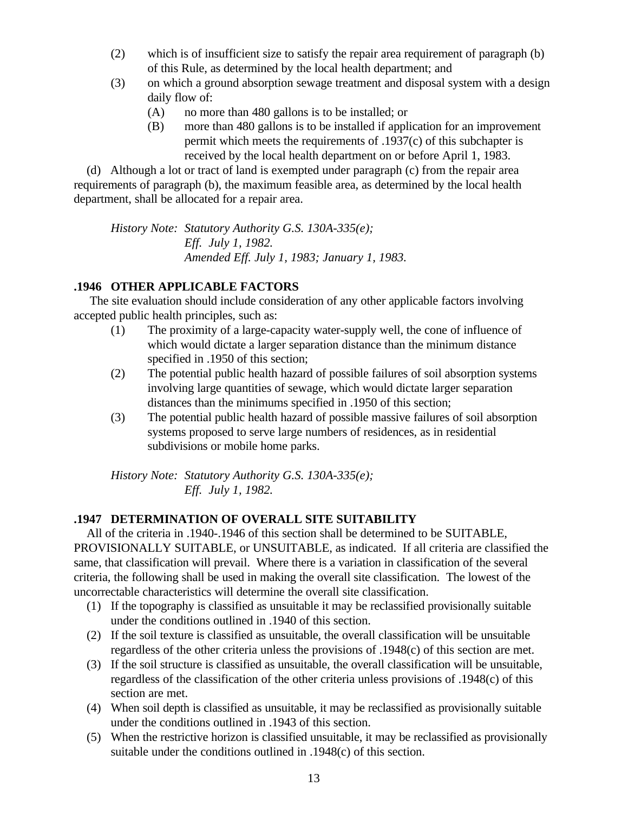- (2) which is of insufficient size to satisfy the repair area requirement of paragraph (b) of this Rule, as determined by the local health department; and
- (3) on which a ground absorption sewage treatment and disposal system with a design daily flow of:
	- (A) no more than 480 gallons is to be installed; or
	- (B) more than 480 gallons is to be installed if application for an improvement permit which meets the requirements of .1937(c) of this subchapter is received by the local health department on or before April 1, 1983.

 (d) Although a lot or tract of land is exempted under paragraph (c) from the repair area requirements of paragraph (b), the maximum feasible area, as determined by the local health department, shall be allocated for a repair area.

*History Note: Statutory Authority G.S. 130A-335(e); Eff. July 1, 1982. Amended Eff. July 1, 1983; January 1, 1983.*

# **.1946 OTHER APPLICABLE FACTORS**

 The site evaluation should include consideration of any other applicable factors involving accepted public health principles, such as:

- (1) The proximity of a large-capacity water-supply well, the cone of influence of which would dictate a larger separation distance than the minimum distance specified in .1950 of this section;
- (2) The potential public health hazard of possible failures of soil absorption systems involving large quantities of sewage, which would dictate larger separation distances than the minimums specified in .1950 of this section;
- (3) The potential public health hazard of possible massive failures of soil absorption systems proposed to serve large numbers of residences, as in residential subdivisions or mobile home parks.

*History Note: Statutory Authority G.S. 130A-335(e); Eff. July 1, 1982.*

# **.1947 DETERMINATION OF OVERALL SITE SUITABILITY**

 All of the criteria in .1940-.1946 of this section shall be determined to be SUITABLE, PROVISIONALLY SUITABLE, or UNSUITABLE, as indicated. If all criteria are classified the same, that classification will prevail. Where there is a variation in classification of the several criteria, the following shall be used in making the overall site classification. The lowest of the uncorrectable characteristics will determine the overall site classification.

- (1) If the topography is classified as unsuitable it may be reclassified provisionally suitable under the conditions outlined in .1940 of this section.
- (2) If the soil texture is classified as unsuitable, the overall classification will be unsuitable regardless of the other criteria unless the provisions of .1948(c) of this section are met.
- (3) If the soil structure is classified as unsuitable, the overall classification will be unsuitable, regardless of the classification of the other criteria unless provisions of .1948(c) of this section are met.
- (4) When soil depth is classified as unsuitable, it may be reclassified as provisionally suitable under the conditions outlined in .1943 of this section.
- (5) When the restrictive horizon is classified unsuitable, it may be reclassified as provisionally suitable under the conditions outlined in .1948(c) of this section.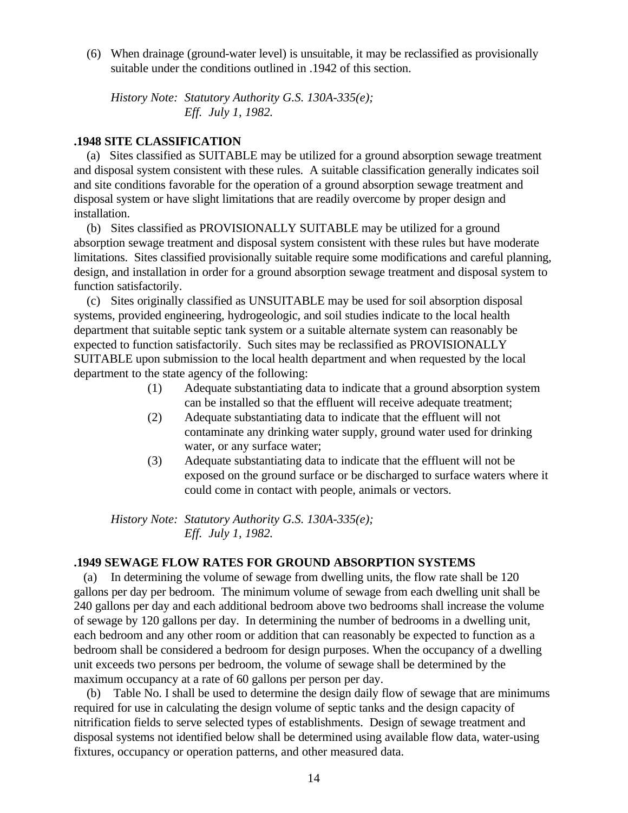(6) When drainage (ground-water level) is unsuitable, it may be reclassified as provisionally suitable under the conditions outlined in .1942 of this section.

*History Note: Statutory Authority G.S. 130A-335(e); Eff. July 1, 1982.*

## **.1948 SITE CLASSIFICATION**

 (a) Sites classified as SUITABLE may be utilized for a ground absorption sewage treatment and disposal system consistent with these rules. A suitable classification generally indicates soil and site conditions favorable for the operation of a ground absorption sewage treatment and disposal system or have slight limitations that are readily overcome by proper design and installation.

 (b) Sites classified as PROVISIONALLY SUITABLE may be utilized for a ground absorption sewage treatment and disposal system consistent with these rules but have moderate limitations. Sites classified provisionally suitable require some modifications and careful planning, design, and installation in order for a ground absorption sewage treatment and disposal system to function satisfactorily.

 (c) Sites originally classified as UNSUITABLE may be used for soil absorption disposal systems, provided engineering, hydrogeologic, and soil studies indicate to the local health department that suitable septic tank system or a suitable alternate system can reasonably be expected to function satisfactorily. Such sites may be reclassified as PROVISIONALLY SUITABLE upon submission to the local health department and when requested by the local department to the state agency of the following:

- (1) Adequate substantiating data to indicate that a ground absorption system can be installed so that the effluent will receive adequate treatment;
- (2) Adequate substantiating data to indicate that the effluent will not contaminate any drinking water supply, ground water used for drinking water, or any surface water;
- (3) Adequate substantiating data to indicate that the effluent will not be exposed on the ground surface or be discharged to surface waters where it could come in contact with people, animals or vectors.

*History Note: Statutory Authority G.S. 130A-335(e); Eff. July 1, 1982.*

# **.1949 SEWAGE FLOW RATES FOR GROUND ABSORPTION SYSTEMS**

 (a) In determining the volume of sewage from dwelling units, the flow rate shall be 120 gallons per day per bedroom. The minimum volume of sewage from each dwelling unit shall be 240 gallons per day and each additional bedroom above two bedrooms shall increase the volume of sewage by 120 gallons per day. In determining the number of bedrooms in a dwelling unit, each bedroom and any other room or addition that can reasonably be expected to function as a bedroom shall be considered a bedroom for design purposes. When the occupancy of a dwelling unit exceeds two persons per bedroom, the volume of sewage shall be determined by the maximum occupancy at a rate of 60 gallons per person per day.

 (b) Table No. I shall be used to determine the design daily flow of sewage that are minimums required for use in calculating the design volume of septic tanks and the design capacity of nitrification fields to serve selected types of establishments. Design of sewage treatment and disposal systems not identified below shall be determined using available flow data, water-using fixtures, occupancy or operation patterns, and other measured data.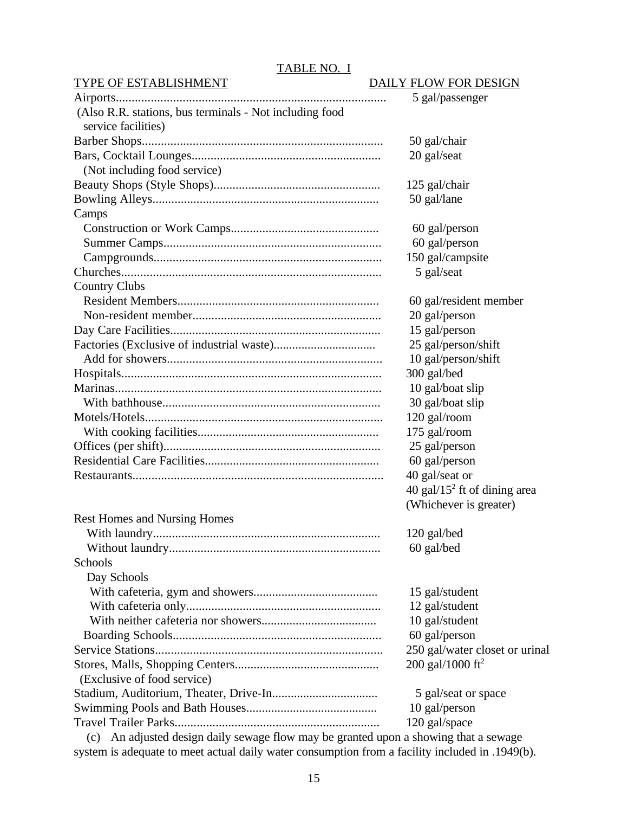# TABLE NO. I

#### TYPE OF ESTABLISHMENT DAILY FLOW FOR DESIGN

|                                                         | 5 gal/passenger                 |
|---------------------------------------------------------|---------------------------------|
| (Also R.R. stations, bus terminals - Not including food |                                 |
| service facilities)                                     |                                 |
|                                                         | 50 gal/chair                    |
|                                                         | 20 gal/seat                     |
| (Not including food service)                            |                                 |
|                                                         | 125 gal/chair                   |
|                                                         | 50 gal/lane                     |
| Camps                                                   |                                 |
|                                                         | 60 gal/person                   |
|                                                         | 60 gal/person                   |
|                                                         | 150 gal/campsite                |
|                                                         | 5 gal/seat                      |
| <b>Country Clubs</b>                                    |                                 |
|                                                         | 60 gal/resident member          |
|                                                         | 20 gal/person                   |
|                                                         | 15 gal/person                   |
|                                                         | 25 gal/person/shift             |
|                                                         | 10 gal/person/shift             |
|                                                         | 300 gal/bed                     |
|                                                         | 10 gal/boat slip                |
|                                                         | 30 gal/boat slip                |
|                                                         | 120 gal/room                    |
|                                                         | 175 gal/room                    |
|                                                         | 25 gal/person                   |
|                                                         | 60 gal/person                   |
|                                                         | 40 gal/seat or                  |
|                                                         | 40 gal/15 $2$ ft of dining area |
|                                                         | (Whichever is greater)          |
| <b>Rest Homes and Nursing Homes</b>                     |                                 |
|                                                         | 120 gal/bed                     |
|                                                         | 60 gal/bed                      |
| Schools                                                 |                                 |
| Day Schools                                             |                                 |
|                                                         | 15 gal/student                  |
|                                                         | 12 gal/student                  |
|                                                         | 10 gal/student                  |
|                                                         | 60 gal/person                   |
|                                                         | 250 gal/water closet or urinal  |
|                                                         | 200 gal/1000 ft <sup>2</sup>    |
| (Exclusive of food service)                             |                                 |
|                                                         | 5 gal/seat or space             |
|                                                         | 10 gal/person                   |
|                                                         | 120 gal/space                   |
|                                                         |                                 |

 (c) An adjusted design daily sewage flow may be granted upon a showing that a sewage system is adequate to meet actual daily water consumption from a facility included in .1949(b).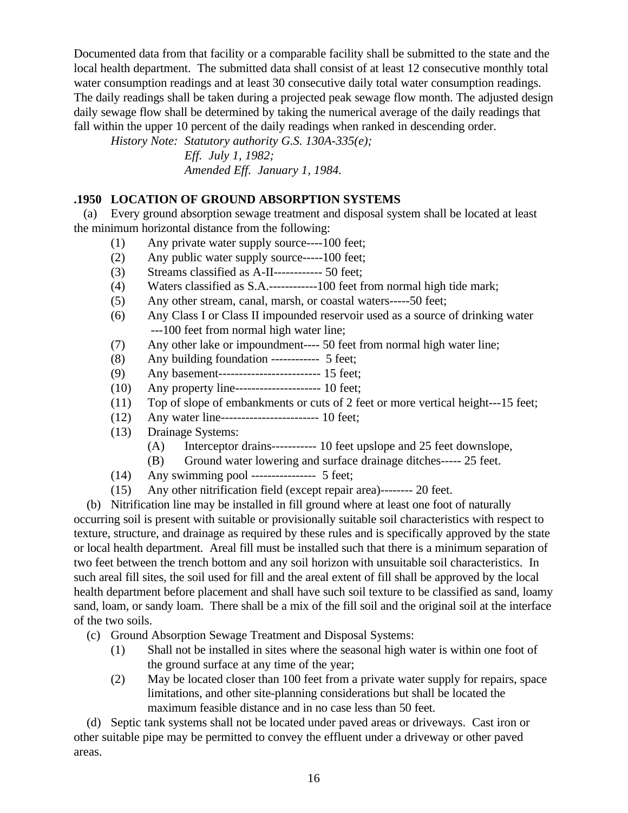Documented data from that facility or a comparable facility shall be submitted to the state and the local health department. The submitted data shall consist of at least 12 consecutive monthly total water consumption readings and at least 30 consecutive daily total water consumption readings. The daily readings shall be taken during a projected peak sewage flow month. The adjusted design daily sewage flow shall be determined by taking the numerical average of the daily readings that fall within the upper 10 percent of the daily readings when ranked in descending order.

*History Note: Statutory authority G.S. 130A-335(e);*

*Eff. July 1, 1982; Amended Eff. January 1, 1984.*

# **.1950 LOCATION OF GROUND ABSORPTION SYSTEMS**

 (a) Every ground absorption sewage treatment and disposal system shall be located at least the minimum horizontal distance from the following:

- (1) Any private water supply source----100 feet;
- (2) Any public water supply source-----100 feet;
- (3) Streams classified as A-II------------ 50 feet;
- (4) Waters classified as S.A.------------100 feet from normal high tide mark;
- (5) Any other stream, canal, marsh, or coastal waters-----50 feet;
- (6) Any Class I or Class II impounded reservoir used as a source of drinking water ---100 feet from normal high water line;
- (7) Any other lake or impoundment---- 50 feet from normal high water line;
- (8) Any building foundation ------------ 5 feet;
- (9) Any basement------------------------- 15 feet;
- (10) Any property line--------------------- 10 feet;
- (11) Top of slope of embankments or cuts of 2 feet or more vertical height---15 feet;
- (12) Any water line------------------------ 10 feet;
- (13) Drainage Systems:
	- (A) Interceptor drains----------- 10 feet upslope and 25 feet downslope,
	- (B) Ground water lowering and surface drainage ditches----- 25 feet.
- (14) Any swimming pool ---------------- 5 feet;
- (15) Any other nitrification field (except repair area)-------- 20 feet.

 (b) Nitrification line may be installed in fill ground where at least one foot of naturally occurring soil is present with suitable or provisionally suitable soil characteristics with respect to texture, structure, and drainage as required by these rules and is specifically approved by the state or local health department. Areal fill must be installed such that there is a minimum separation of two feet between the trench bottom and any soil horizon with unsuitable soil characteristics. In such areal fill sites, the soil used for fill and the areal extent of fill shall be approved by the local health department before placement and shall have such soil texture to be classified as sand, loamy sand, loam, or sandy loam. There shall be a mix of the fill soil and the original soil at the interface of the two soils.

- (c) Ground Absorption Sewage Treatment and Disposal Systems:
	- (1) Shall not be installed in sites where the seasonal high water is within one foot of the ground surface at any time of the year;
	- (2) May be located closer than 100 feet from a private water supply for repairs, space limitations, and other site-planning considerations but shall be located the maximum feasible distance and in no case less than 50 feet.

 (d) Septic tank systems shall not be located under paved areas or driveways. Cast iron or other suitable pipe may be permitted to convey the effluent under a driveway or other paved areas.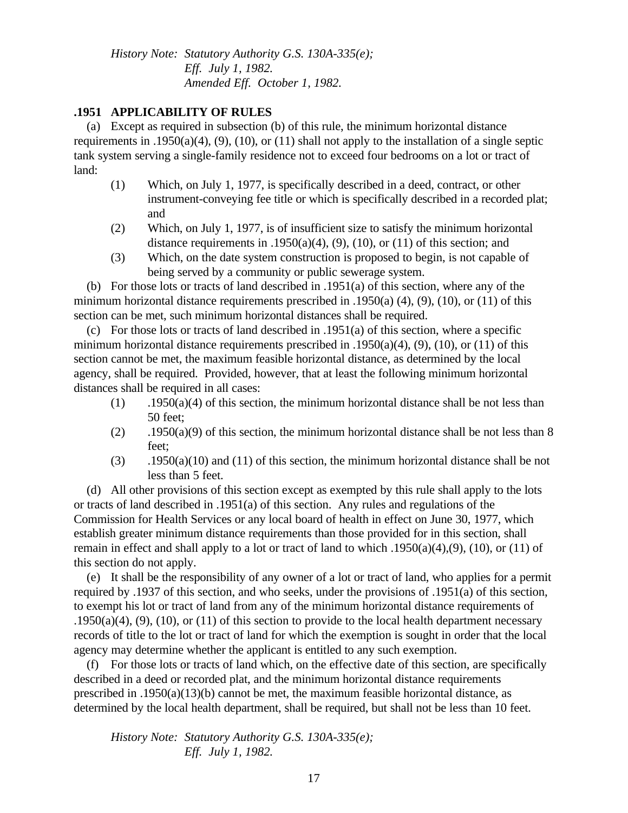*History Note: Statutory Authority G.S. 130A-335(e); Eff. July 1, 1982. Amended Eff. October 1, 1982.*

## **.1951 APPLICABILITY OF RULES**

 (a) Except as required in subsection (b) of this rule, the minimum horizontal distance requirements in .1950(a)(4), (9), (10), or (11) shall not apply to the installation of a single septic tank system serving a single-family residence not to exceed four bedrooms on a lot or tract of land:

- (1) Which, on July 1, 1977, is specifically described in a deed, contract, or other instrument-conveying fee title or which is specifically described in a recorded plat; and
- (2) Which, on July 1, 1977, is of insufficient size to satisfy the minimum horizontal distance requirements in .1950(a)(4), (9), (10), or (11) of this section; and
- (3) Which, on the date system construction is proposed to begin, is not capable of being served by a community or public sewerage system.

 (b) For those lots or tracts of land described in .1951(a) of this section, where any of the minimum horizontal distance requirements prescribed in .1950(a)  $(4)$ ,  $(9)$ ,  $(10)$ , or  $(11)$  of this section can be met, such minimum horizontal distances shall be required.

(c) For those lots or tracts of land described in  $.1951(a)$  of this section, where a specific minimum horizontal distance requirements prescribed in .1950(a)(4), (9), (10), or (11) of this section cannot be met, the maximum feasible horizontal distance, as determined by the local agency, shall be required. Provided, however, that at least the following minimum horizontal distances shall be required in all cases:

- $(1)$  .1950(a)(4) of this section, the minimum horizontal distance shall be not less than 50 feet;
- $(2)$  .1950(a)(9) of this section, the minimum horizontal distance shall be not less than 8 feet;
- $(3)$  .1950(a)(10) and (11) of this section, the minimum horizontal distance shall be not less than 5 feet.

 (d) All other provisions of this section except as exempted by this rule shall apply to the lots or tracts of land described in .1951(a) of this section. Any rules and regulations of the Commission for Health Services or any local board of health in effect on June 30, 1977, which establish greater minimum distance requirements than those provided for in this section, shall remain in effect and shall apply to a lot or tract of land to which  $.1950(a)(4),(9)$ , (10), or (11) of this section do not apply.

 (e) It shall be the responsibility of any owner of a lot or tract of land, who applies for a permit required by .1937 of this section, and who seeks, under the provisions of .1951(a) of this section, to exempt his lot or tract of land from any of the minimum horizontal distance requirements of .1950(a)(4), (9), (10), or (11) of this section to provide to the local health department necessary records of title to the lot or tract of land for which the exemption is sought in order that the local agency may determine whether the applicant is entitled to any such exemption.

 (f) For those lots or tracts of land which, on the effective date of this section, are specifically described in a deed or recorded plat, and the minimum horizontal distance requirements prescribed in .1950(a)(13)(b) cannot be met, the maximum feasible horizontal distance, as determined by the local health department, shall be required, but shall not be less than 10 feet.

*History Note: Statutory Authority G.S. 130A-335(e); Eff. July 1, 1982.*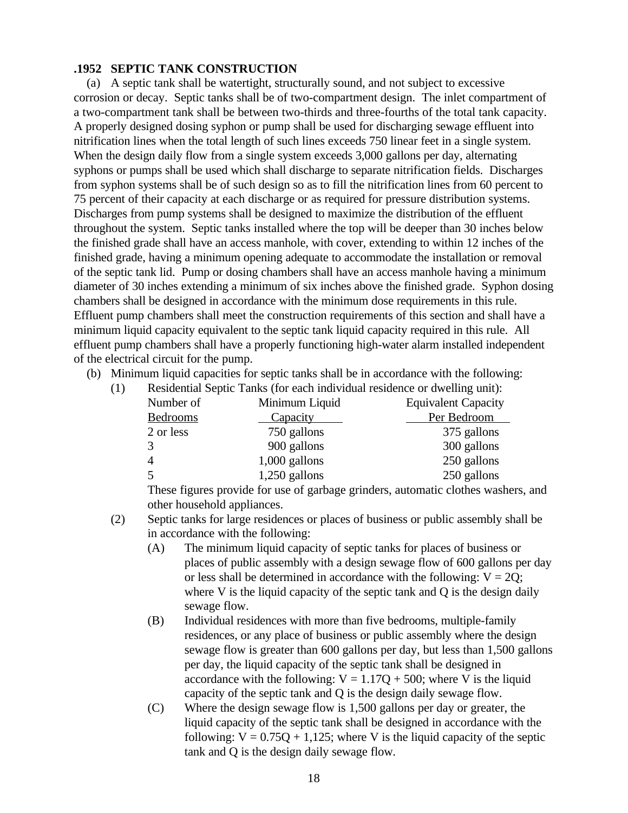#### **.1952 SEPTIC TANK CONSTRUCTION**

 (a) A septic tank shall be watertight, structurally sound, and not subject to excessive corrosion or decay. Septic tanks shall be of two-compartment design. The inlet compartment of a two-compartment tank shall be between two-thirds and three-fourths of the total tank capacity. A properly designed dosing syphon or pump shall be used for discharging sewage effluent into nitrification lines when the total length of such lines exceeds 750 linear feet in a single system. When the design daily flow from a single system exceeds 3,000 gallons per day, alternating syphons or pumps shall be used which shall discharge to separate nitrification fields. Discharges from syphon systems shall be of such design so as to fill the nitrification lines from 60 percent to 75 percent of their capacity at each discharge or as required for pressure distribution systems. Discharges from pump systems shall be designed to maximize the distribution of the effluent throughout the system. Septic tanks installed where the top will be deeper than 30 inches below the finished grade shall have an access manhole, with cover, extending to within 12 inches of the finished grade, having a minimum opening adequate to accommodate the installation or removal of the septic tank lid. Pump or dosing chambers shall have an access manhole having a minimum diameter of 30 inches extending a minimum of six inches above the finished grade. Syphon dosing chambers shall be designed in accordance with the minimum dose requirements in this rule. Effluent pump chambers shall meet the construction requirements of this section and shall have a minimum liquid capacity equivalent to the septic tank liquid capacity required in this rule. All effluent pump chambers shall have a properly functioning high-water alarm installed independent of the electrical circuit for the pump.

(b) Minimum liquid capacities for septic tanks shall be in accordance with the following:

| (1) | Residential Septic Tanks (for each individual residence or dwelling unit): |                 |                            |
|-----|----------------------------------------------------------------------------|-----------------|----------------------------|
|     | Number of                                                                  | Minimum Liquid  | <b>Equivalent Capacity</b> |
|     | Bedrooms                                                                   | Capacity        | Per Bedroom                |
|     | 2 or less                                                                  | 750 gallons     | 375 gallons                |
|     |                                                                            | 900 gallons     | 300 gallons                |
|     | $\overline{4}$                                                             | $1,000$ gallons | 250 gallons                |
|     |                                                                            | $1,250$ gallons | 250 gallons                |

These figures provide for use of garbage grinders, automatic clothes washers, and other household appliances.

- (2) Septic tanks for large residences or places of business or public assembly shall be in accordance with the following:
	- (A) The minimum liquid capacity of septic tanks for places of business or places of public assembly with a design sewage flow of 600 gallons per day or less shall be determined in accordance with the following:  $V = 2Q$ ; where V is the liquid capacity of the septic tank and Q is the design daily sewage flow.
	- (B) Individual residences with more than five bedrooms, multiple-family residences, or any place of business or public assembly where the design sewage flow is greater than 600 gallons per day, but less than 1,500 gallons per day, the liquid capacity of the septic tank shall be designed in accordance with the following:  $V = 1.17Q + 500$ ; where V is the liquid capacity of the septic tank and Q is the design daily sewage flow.
	- (C) Where the design sewage flow is 1,500 gallons per day or greater, the liquid capacity of the septic tank shall be designed in accordance with the following:  $V = 0.75Q + 1.125$ ; where V is the liquid capacity of the septic tank and Q is the design daily sewage flow.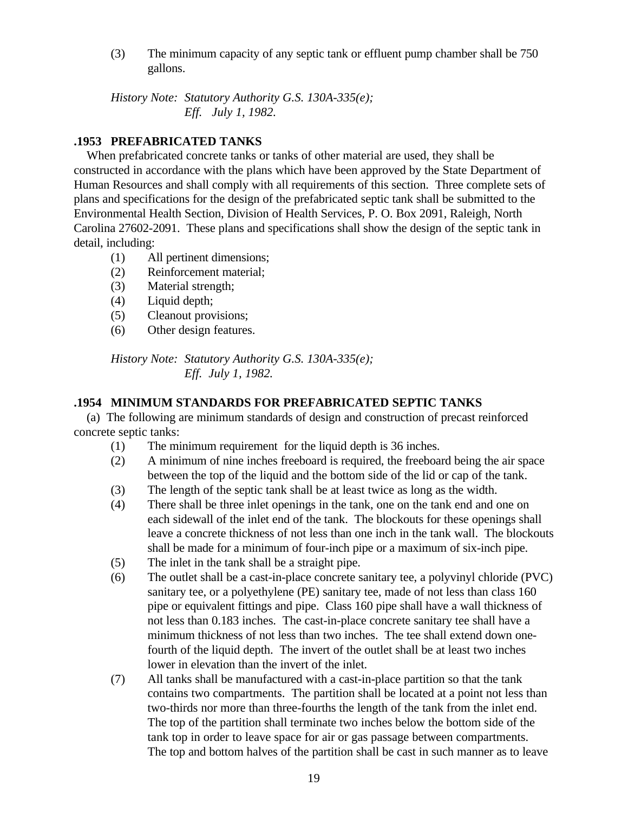(3) The minimum capacity of any septic tank or effluent pump chamber shall be 750 gallons.

*History Note: Statutory Authority G.S. 130A-335(e); Eff. July 1, 1982.*

# **.1953 PREFABRICATED TANKS**

 When prefabricated concrete tanks or tanks of other material are used, they shall be constructed in accordance with the plans which have been approved by the State Department of Human Resources and shall comply with all requirements of this section. Three complete sets of plans and specifications for the design of the prefabricated septic tank shall be submitted to the Environmental Health Section, Division of Health Services, P. O. Box 2091, Raleigh, North Carolina 27602-2091. These plans and specifications shall show the design of the septic tank in detail, including:

- (1) All pertinent dimensions;
- (2) Reinforcement material;
- (3) Material strength;
- (4) Liquid depth;
- (5) Cleanout provisions;
- (6) Other design features.

*History Note: Statutory Authority G.S. 130A-335(e); Eff. July 1, 1982.*

# **.1954 MINIMUM STANDARDS FOR PREFABRICATED SEPTIC TANKS**

 (a) The following are minimum standards of design and construction of precast reinforced concrete septic tanks:

- (1) The minimum requirement for the liquid depth is 36 inches.
- (2) A minimum of nine inches freeboard is required, the freeboard being the air space between the top of the liquid and the bottom side of the lid or cap of the tank.
- (3) The length of the septic tank shall be at least twice as long as the width.
- (4) There shall be three inlet openings in the tank, one on the tank end and one on each sidewall of the inlet end of the tank. The blockouts for these openings shall leave a concrete thickness of not less than one inch in the tank wall. The blockouts shall be made for a minimum of four-inch pipe or a maximum of six-inch pipe.
- (5) The inlet in the tank shall be a straight pipe.
- (6) The outlet shall be a cast-in-place concrete sanitary tee, a polyvinyl chloride (PVC) sanitary tee, or a polyethylene (PE) sanitary tee, made of not less than class 160 pipe or equivalent fittings and pipe. Class 160 pipe shall have a wall thickness of not less than 0.183 inches. The cast-in-place concrete sanitary tee shall have a minimum thickness of not less than two inches. The tee shall extend down onefourth of the liquid depth. The invert of the outlet shall be at least two inches lower in elevation than the invert of the inlet.
- (7) All tanks shall be manufactured with a cast-in-place partition so that the tank contains two compartments. The partition shall be located at a point not less than two-thirds nor more than three-fourths the length of the tank from the inlet end. The top of the partition shall terminate two inches below the bottom side of the tank top in order to leave space for air or gas passage between compartments. The top and bottom halves of the partition shall be cast in such manner as to leave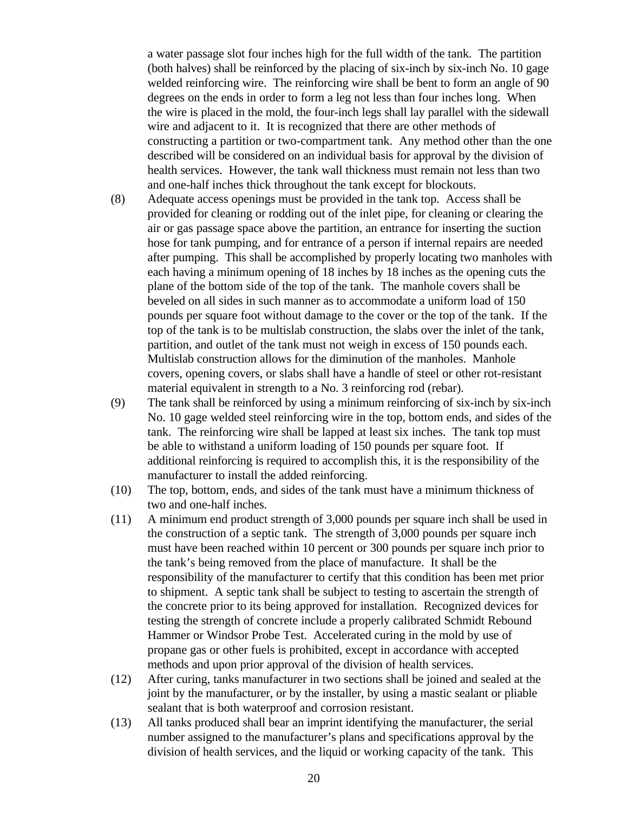a water passage slot four inches high for the full width of the tank. The partition (both halves) shall be reinforced by the placing of six-inch by six-inch No. 10 gage welded reinforcing wire. The reinforcing wire shall be bent to form an angle of 90 degrees on the ends in order to form a leg not less than four inches long. When the wire is placed in the mold, the four-inch legs shall lay parallel with the sidewall wire and adjacent to it. It is recognized that there are other methods of constructing a partition or two-compartment tank. Any method other than the one described will be considered on an individual basis for approval by the division of health services. However, the tank wall thickness must remain not less than two and one-half inches thick throughout the tank except for blockouts.

- (8) Adequate access openings must be provided in the tank top. Access shall be provided for cleaning or rodding out of the inlet pipe, for cleaning or clearing the air or gas passage space above the partition, an entrance for inserting the suction hose for tank pumping, and for entrance of a person if internal repairs are needed after pumping. This shall be accomplished by properly locating two manholes with each having a minimum opening of 18 inches by 18 inches as the opening cuts the plane of the bottom side of the top of the tank. The manhole covers shall be beveled on all sides in such manner as to accommodate a uniform load of 150 pounds per square foot without damage to the cover or the top of the tank. If the top of the tank is to be multislab construction, the slabs over the inlet of the tank, partition, and outlet of the tank must not weigh in excess of 150 pounds each. Multislab construction allows for the diminution of the manholes. Manhole covers, opening covers, or slabs shall have a handle of steel or other rot-resistant material equivalent in strength to a No. 3 reinforcing rod (rebar).
- (9) The tank shall be reinforced by using a minimum reinforcing of six-inch by six-inch No. 10 gage welded steel reinforcing wire in the top, bottom ends, and sides of the tank. The reinforcing wire shall be lapped at least six inches. The tank top must be able to withstand a uniform loading of 150 pounds per square foot. If additional reinforcing is required to accomplish this, it is the responsibility of the manufacturer to install the added reinforcing.
- (10) The top, bottom, ends, and sides of the tank must have a minimum thickness of two and one-half inches.
- (11) A minimum end product strength of 3,000 pounds per square inch shall be used in the construction of a septic tank. The strength of 3,000 pounds per square inch must have been reached within 10 percent or 300 pounds per square inch prior to the tank's being removed from the place of manufacture. It shall be the responsibility of the manufacturer to certify that this condition has been met prior to shipment. A septic tank shall be subject to testing to ascertain the strength of the concrete prior to its being approved for installation. Recognized devices for testing the strength of concrete include a properly calibrated Schmidt Rebound Hammer or Windsor Probe Test. Accelerated curing in the mold by use of propane gas or other fuels is prohibited, except in accordance with accepted methods and upon prior approval of the division of health services.
- (12) After curing, tanks manufacturer in two sections shall be joined and sealed at the joint by the manufacturer, or by the installer, by using a mastic sealant or pliable sealant that is both waterproof and corrosion resistant.
- (13) All tanks produced shall bear an imprint identifying the manufacturer, the serial number assigned to the manufacturer's plans and specifications approval by the division of health services, and the liquid or working capacity of the tank. This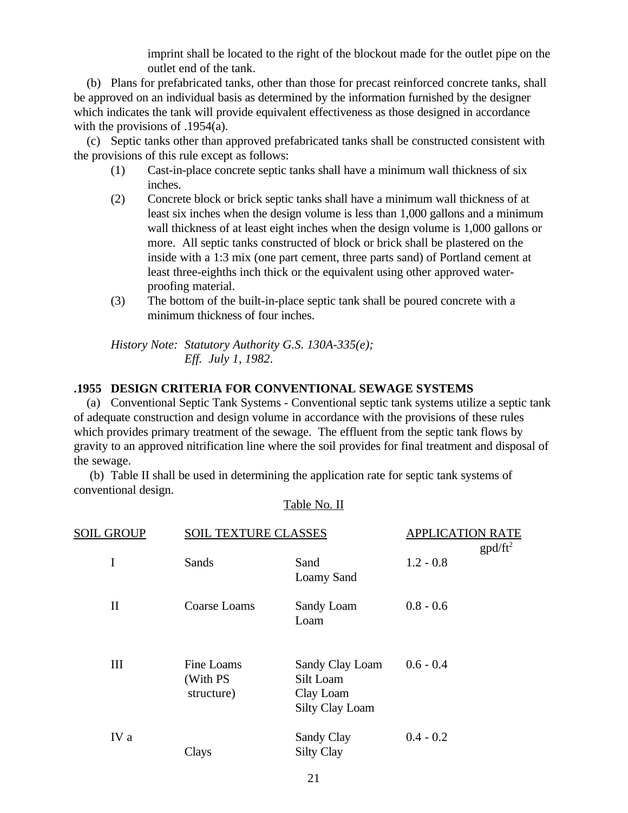imprint shall be located to the right of the blockout made for the outlet pipe on the outlet end of the tank.

 (b) Plans for prefabricated tanks, other than those for precast reinforced concrete tanks, shall be approved on an individual basis as determined by the information furnished by the designer which indicates the tank will provide equivalent effectiveness as those designed in accordance with the provisions of .1954(a).

 (c) Septic tanks other than approved prefabricated tanks shall be constructed consistent with the provisions of this rule except as follows:

- (1) Cast-in-place concrete septic tanks shall have a minimum wall thickness of six inches.
- (2) Concrete block or brick septic tanks shall have a minimum wall thickness of at least six inches when the design volume is less than 1,000 gallons and a minimum wall thickness of at least eight inches when the design volume is 1,000 gallons or more. All septic tanks constructed of block or brick shall be plastered on the inside with a 1:3 mix (one part cement, three parts sand) of Portland cement at least three-eighths inch thick or the equivalent using other approved waterproofing material.
- (3) The bottom of the built-in-place septic tank shall be poured concrete with a minimum thickness of four inches.

*History Note: Statutory Authority G.S. 130A-335(e); Eff. July 1, 1982*.

## **.1955 DESIGN CRITERIA FOR CONVENTIONAL SEWAGE SYSTEMS**

 (a) Conventional Septic Tank Systems - Conventional septic tank systems utilize a septic tank of adequate construction and design volume in accordance with the provisions of these rules which provides primary treatment of the sewage. The effluent from the septic tank flows by gravity to an approved nitrification line where the soil provides for final treatment and disposal of the sewage.

 (b) Table II shall be used in determining the application rate for septic tank systems of conventional design.

| <u>SOIL GROUP</u> | <b>SOIL TEXTURE CLASSES</b>          |                                                                     | <b>APPLICATION RATE</b><br>$\text{gpd/ft}^2$ |
|-------------------|--------------------------------------|---------------------------------------------------------------------|----------------------------------------------|
| I                 | Sands                                | Sand<br><b>Loamy Sand</b>                                           | $1.2 - 0.8$                                  |
| $\mathbf{I}$      | Coarse Loams                         | Sandy Loam<br>Loam                                                  | $0.8 - 0.6$                                  |
| III               | Fine Loams<br>(With PS<br>structure) | Sandy Clay Loam<br>Silt Loam<br>Clay Loam<br><b>Silty Clay Loam</b> | $0.6 - 0.4$                                  |
| IV a              | Clays                                | Sandy Clay<br><b>Silty Clay</b>                                     | $0.4 - 0.2$                                  |

#### Table No. II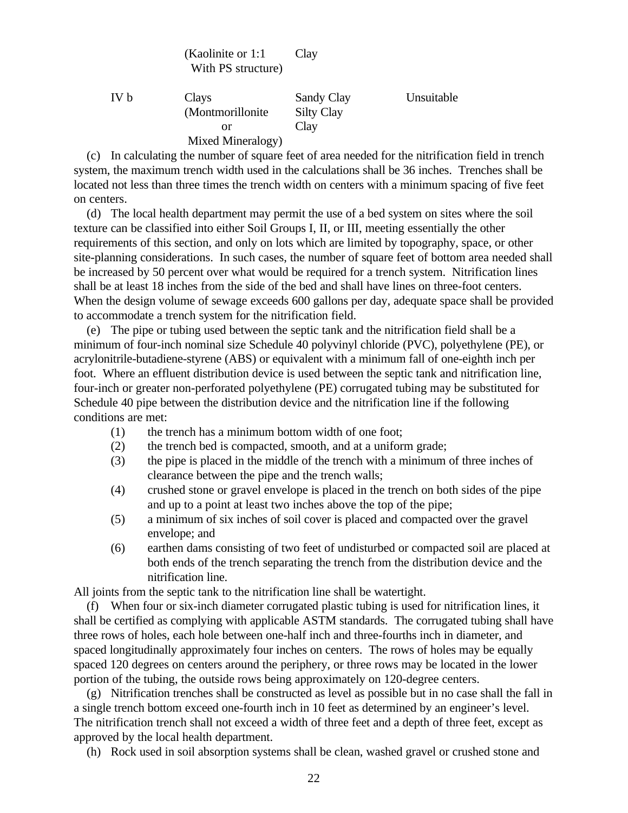| (Kaolinite or 1:1) | Clay |
|--------------------|------|
| With PS structure) |      |

| IV b | Clays             | Sandy Clay        | Unsuitable |
|------|-------------------|-------------------|------------|
|      | (Montmorillonite) | <b>Silty Clay</b> |            |
|      | or                | Clay              |            |
|      | Mixed Mineralogy) |                   |            |

 (c) In calculating the number of square feet of area needed for the nitrification field in trench system, the maximum trench width used in the calculations shall be 36 inches. Trenches shall be located not less than three times the trench width on centers with a minimum spacing of five feet on centers.

 (d) The local health department may permit the use of a bed system on sites where the soil texture can be classified into either Soil Groups I, II, or III, meeting essentially the other requirements of this section, and only on lots which are limited by topography, space, or other site-planning considerations. In such cases, the number of square feet of bottom area needed shall be increased by 50 percent over what would be required for a trench system. Nitrification lines shall be at least 18 inches from the side of the bed and shall have lines on three-foot centers. When the design volume of sewage exceeds 600 gallons per day, adequate space shall be provided to accommodate a trench system for the nitrification field.

 (e) The pipe or tubing used between the septic tank and the nitrification field shall be a minimum of four-inch nominal size Schedule 40 polyvinyl chloride (PVC), polyethylene (PE), or acrylonitrile-butadiene-styrene (ABS) or equivalent with a minimum fall of one-eighth inch per foot. Where an effluent distribution device is used between the septic tank and nitrification line, four-inch or greater non-perforated polyethylene (PE) corrugated tubing may be substituted for Schedule 40 pipe between the distribution device and the nitrification line if the following conditions are met:

- (1) the trench has a minimum bottom width of one foot;
- (2) the trench bed is compacted, smooth, and at a uniform grade;
- (3) the pipe is placed in the middle of the trench with a minimum of three inches of clearance between the pipe and the trench walls;
- (4) crushed stone or gravel envelope is placed in the trench on both sides of the pipe and up to a point at least two inches above the top of the pipe;
- (5) a minimum of six inches of soil cover is placed and compacted over the gravel envelope; and
- (6) earthen dams consisting of two feet of undisturbed or compacted soil are placed at both ends of the trench separating the trench from the distribution device and the nitrification line.

All joints from the septic tank to the nitrification line shall be watertight.

 (f) When four or six-inch diameter corrugated plastic tubing is used for nitrification lines, it shall be certified as complying with applicable ASTM standards. The corrugated tubing shall have three rows of holes, each hole between one-half inch and three-fourths inch in diameter, and spaced longitudinally approximately four inches on centers. The rows of holes may be equally spaced 120 degrees on centers around the periphery, or three rows may be located in the lower portion of the tubing, the outside rows being approximately on 120-degree centers.

 (g) Nitrification trenches shall be constructed as level as possible but in no case shall the fall in a single trench bottom exceed one-fourth inch in 10 feet as determined by an engineer's level. The nitrification trench shall not exceed a width of three feet and a depth of three feet, except as approved by the local health department.

(h) Rock used in soil absorption systems shall be clean, washed gravel or crushed stone and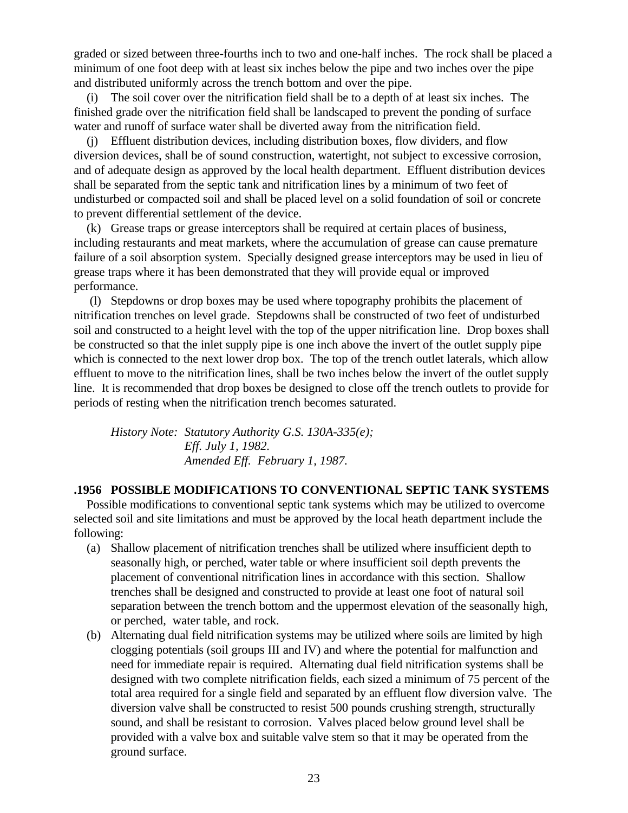graded or sized between three-fourths inch to two and one-half inches. The rock shall be placed a minimum of one foot deep with at least six inches below the pipe and two inches over the pipe and distributed uniformly across the trench bottom and over the pipe.

 (i) The soil cover over the nitrification field shall be to a depth of at least six inches. The finished grade over the nitrification field shall be landscaped to prevent the ponding of surface water and runoff of surface water shall be diverted away from the nitrification field.

 (j) Effluent distribution devices, including distribution boxes, flow dividers, and flow diversion devices, shall be of sound construction, watertight, not subject to excessive corrosion, and of adequate design as approved by the local health department. Effluent distribution devices shall be separated from the septic tank and nitrification lines by a minimum of two feet of undisturbed or compacted soil and shall be placed level on a solid foundation of soil or concrete to prevent differential settlement of the device.

 (k) Grease traps or grease interceptors shall be required at certain places of business, including restaurants and meat markets, where the accumulation of grease can cause premature failure of a soil absorption system. Specially designed grease interceptors may be used in lieu of grease traps where it has been demonstrated that they will provide equal or improved performance.

 (l) Stepdowns or drop boxes may be used where topography prohibits the placement of nitrification trenches on level grade. Stepdowns shall be constructed of two feet of undisturbed soil and constructed to a height level with the top of the upper nitrification line. Drop boxes shall be constructed so that the inlet supply pipe is one inch above the invert of the outlet supply pipe which is connected to the next lower drop box. The top of the trench outlet laterals, which allow effluent to move to the nitrification lines, shall be two inches below the invert of the outlet supply line. It is recommended that drop boxes be designed to close off the trench outlets to provide for periods of resting when the nitrification trench becomes saturated.

*History Note: Statutory Authority G.S. 130A-335(e); Eff. July 1, 1982. Amended Eff. February 1, 1987.*

## **.1956 POSSIBLE MODIFICATIONS TO CONVENTIONAL SEPTIC TANK SYSTEMS**

 Possible modifications to conventional septic tank systems which may be utilized to overcome selected soil and site limitations and must be approved by the local heath department include the following:

- (a) Shallow placement of nitrification trenches shall be utilized where insufficient depth to seasonally high, or perched, water table or where insufficient soil depth prevents the placement of conventional nitrification lines in accordance with this section. Shallow trenches shall be designed and constructed to provide at least one foot of natural soil separation between the trench bottom and the uppermost elevation of the seasonally high, or perched, water table, and rock.
- (b) Alternating dual field nitrification systems may be utilized where soils are limited by high clogging potentials (soil groups III and IV) and where the potential for malfunction and need for immediate repair is required. Alternating dual field nitrification systems shall be designed with two complete nitrification fields, each sized a minimum of 75 percent of the total area required for a single field and separated by an effluent flow diversion valve. The diversion valve shall be constructed to resist 500 pounds crushing strength, structurally sound, and shall be resistant to corrosion. Valves placed below ground level shall be provided with a valve box and suitable valve stem so that it may be operated from the ground surface.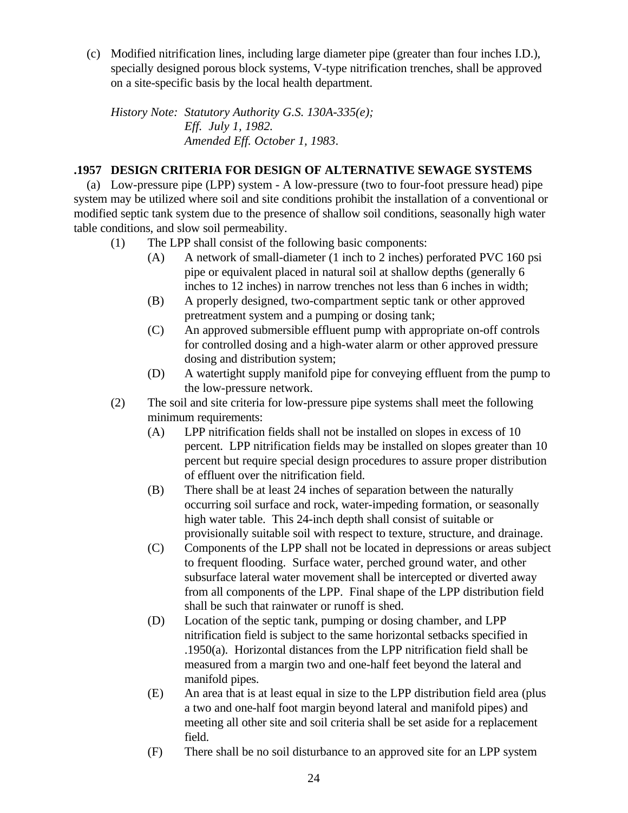(c) Modified nitrification lines, including large diameter pipe (greater than four inches I.D.), specially designed porous block systems, V-type nitrification trenches, shall be approved on a site-specific basis by the local health department.

*History Note: Statutory Authority G.S. 130A-335(e); Eff. July 1, 1982. Amended Eff. October 1, 1983*.

## **.1957 DESIGN CRITERIA FOR DESIGN OF ALTERNATIVE SEWAGE SYSTEMS**

 (a) Low-pressure pipe (LPP) system - A low-pressure (two to four-foot pressure head) pipe system may be utilized where soil and site conditions prohibit the installation of a conventional or modified septic tank system due to the presence of shallow soil conditions, seasonally high water table conditions, and slow soil permeability.

- (1) The LPP shall consist of the following basic components:
	- (A) A network of small-diameter (1 inch to 2 inches) perforated PVC 160 psi pipe or equivalent placed in natural soil at shallow depths (generally 6 inches to 12 inches) in narrow trenches not less than 6 inches in width;
	- (B) A properly designed, two-compartment septic tank or other approved pretreatment system and a pumping or dosing tank;
	- (C) An approved submersible effluent pump with appropriate on-off controls for controlled dosing and a high-water alarm or other approved pressure dosing and distribution system;
	- (D) A watertight supply manifold pipe for conveying effluent from the pump to the low-pressure network.
- (2) The soil and site criteria for low-pressure pipe systems shall meet the following minimum requirements:
	- (A) LPP nitrification fields shall not be installed on slopes in excess of 10 percent. LPP nitrification fields may be installed on slopes greater than 10 percent but require special design procedures to assure proper distribution of effluent over the nitrification field.
	- (B) There shall be at least 24 inches of separation between the naturally occurring soil surface and rock, water-impeding formation, or seasonally high water table. This 24-inch depth shall consist of suitable or provisionally suitable soil with respect to texture, structure, and drainage.
	- (C) Components of the LPP shall not be located in depressions or areas subject to frequent flooding. Surface water, perched ground water, and other subsurface lateral water movement shall be intercepted or diverted away from all components of the LPP. Final shape of the LPP distribution field shall be such that rainwater or runoff is shed.
	- (D) Location of the septic tank, pumping or dosing chamber, and LPP nitrification field is subject to the same horizontal setbacks specified in .1950(a). Horizontal distances from the LPP nitrification field shall be measured from a margin two and one-half feet beyond the lateral and manifold pipes.
	- (E) An area that is at least equal in size to the LPP distribution field area (plus a two and one-half foot margin beyond lateral and manifold pipes) and meeting all other site and soil criteria shall be set aside for a replacement field.
	- (F) There shall be no soil disturbance to an approved site for an LPP system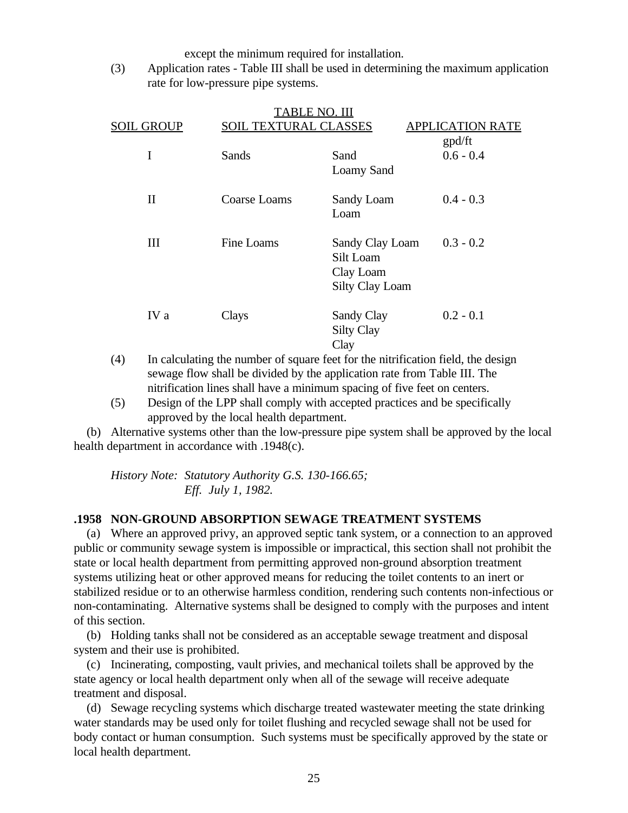except the minimum required for installation.

(3) Application rates - Table III shall be used in determining the maximum application rate for low-pressure pipe systems.

|                   |                              | TABLE <u>NO. III</u>                                                |                         |
|-------------------|------------------------------|---------------------------------------------------------------------|-------------------------|
| <b>SOIL GROUP</b> | <b>SOIL TEXTURAL CLASSES</b> |                                                                     | <b>APPLICATION RATE</b> |
|                   |                              |                                                                     | gpd/ft                  |
| I                 | Sands                        | Sand                                                                | $0.6 - 0.4$             |
|                   |                              | <b>Loamy Sand</b>                                                   |                         |
| $\mathbf{I}$      | Coarse Loams                 | Sandy Loam<br>Loam                                                  | $0.4 - 0.3$             |
| III               | Fine Loams                   | Sandy Clay Loam<br>Silt Loam<br>Clay Loam<br><b>Silty Clay Loam</b> | $0.3 - 0.2$             |
| IV a              | Clays                        | Sandy Clay<br><b>Silty Clay</b><br>Clay                             | $0.2 - 0.1$             |

- (4) In calculating the number of square feet for the nitrification field, the design sewage flow shall be divided by the application rate from Table III. The nitrification lines shall have a minimum spacing of five feet on centers.
- (5) Design of the LPP shall comply with accepted practices and be specifically approved by the local health department.

 (b) Alternative systems other than the low-pressure pipe system shall be approved by the local health department in accordance with .1948(c).

*History Note: Statutory Authority G.S. 130-166.65; Eff. July 1, 1982.*

#### **.1958 NON-GROUND ABSORPTION SEWAGE TREATMENT SYSTEMS**

 (a) Where an approved privy, an approved septic tank system, or a connection to an approved public or community sewage system is impossible or impractical, this section shall not prohibit the state or local health department from permitting approved non-ground absorption treatment systems utilizing heat or other approved means for reducing the toilet contents to an inert or stabilized residue or to an otherwise harmless condition, rendering such contents non-infectious or non-contaminating. Alternative systems shall be designed to comply with the purposes and intent of this section.

 (b) Holding tanks shall not be considered as an acceptable sewage treatment and disposal system and their use is prohibited.

 (c) Incinerating, composting, vault privies, and mechanical toilets shall be approved by the state agency or local health department only when all of the sewage will receive adequate treatment and disposal.

 (d) Sewage recycling systems which discharge treated wastewater meeting the state drinking water standards may be used only for toilet flushing and recycled sewage shall not be used for body contact or human consumption. Such systems must be specifically approved by the state or local health department.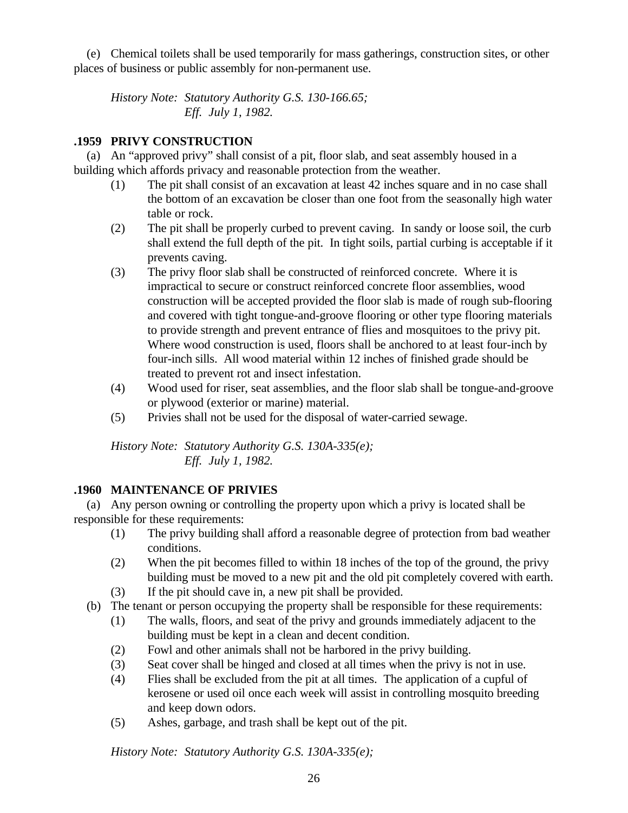(e) Chemical toilets shall be used temporarily for mass gatherings, construction sites, or other places of business or public assembly for non-permanent use.

*History Note: Statutory Authority G.S. 130-166.65; Eff. July 1, 1982.*

# **.1959 PRIVY CONSTRUCTION**

 (a) An "approved privy" shall consist of a pit, floor slab, and seat assembly housed in a building which affords privacy and reasonable protection from the weather.

- (1) The pit shall consist of an excavation at least 42 inches square and in no case shall the bottom of an excavation be closer than one foot from the seasonally high water table or rock.
- (2) The pit shall be properly curbed to prevent caving. In sandy or loose soil, the curb shall extend the full depth of the pit. In tight soils, partial curbing is acceptable if it prevents caving.
- (3) The privy floor slab shall be constructed of reinforced concrete. Where it is impractical to secure or construct reinforced concrete floor assemblies, wood construction will be accepted provided the floor slab is made of rough sub-flooring and covered with tight tongue-and-groove flooring or other type flooring materials to provide strength and prevent entrance of flies and mosquitoes to the privy pit. Where wood construction is used, floors shall be anchored to at least four-inch by four-inch sills. All wood material within 12 inches of finished grade should be treated to prevent rot and insect infestation.
- (4) Wood used for riser, seat assemblies, and the floor slab shall be tongue-and-groove or plywood (exterior or marine) material.
- (5) Privies shall not be used for the disposal of water-carried sewage.

*History Note: Statutory Authority G.S. 130A-335(e); Eff. July 1, 1982.*

# **.1960 MAINTENANCE OF PRIVIES**

 (a) Any person owning or controlling the property upon which a privy is located shall be responsible for these requirements:

- (1) The privy building shall afford a reasonable degree of protection from bad weather conditions.
- (2) When the pit becomes filled to within 18 inches of the top of the ground, the privy building must be moved to a new pit and the old pit completely covered with earth.
- (3) If the pit should cave in, a new pit shall be provided.
- (b) The tenant or person occupying the property shall be responsible for these requirements:
	- (1) The walls, floors, and seat of the privy and grounds immediately adjacent to the building must be kept in a clean and decent condition.
	- (2) Fowl and other animals shall not be harbored in the privy building.
	- (3) Seat cover shall be hinged and closed at all times when the privy is not in use.
	- (4) Flies shall be excluded from the pit at all times. The application of a cupful of kerosene or used oil once each week will assist in controlling mosquito breeding and keep down odors.
	- (5) Ashes, garbage, and trash shall be kept out of the pit.

*History Note: Statutory Authority G.S. 130A-335(e);*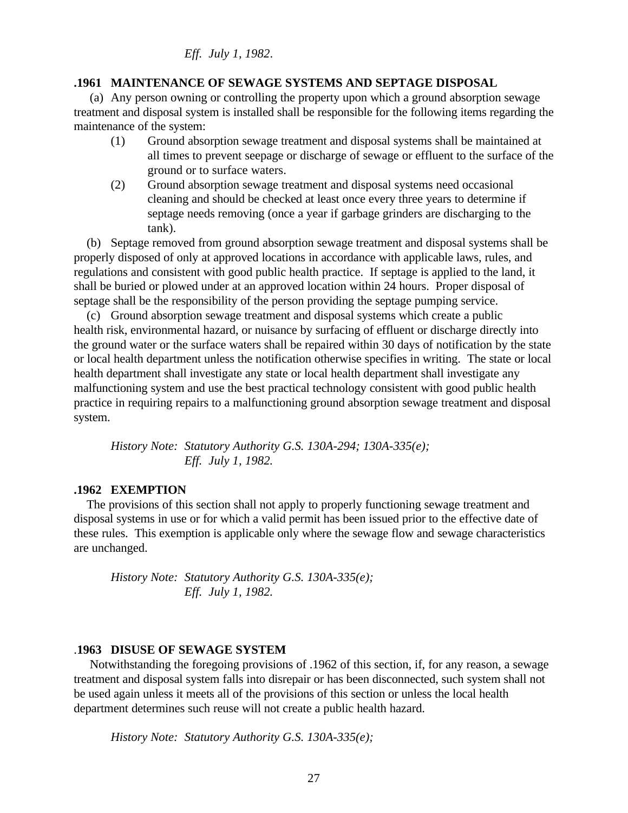*Eff. July 1, 1982*.

#### **.1961 MAINTENANCE OF SEWAGE SYSTEMS AND SEPTAGE DISPOSAL**

 (a) Any person owning or controlling the property upon which a ground absorption sewage treatment and disposal system is installed shall be responsible for the following items regarding the maintenance of the system:

- (1) Ground absorption sewage treatment and disposal systems shall be maintained at all times to prevent seepage or discharge of sewage or effluent to the surface of the ground or to surface waters.
- (2) Ground absorption sewage treatment and disposal systems need occasional cleaning and should be checked at least once every three years to determine if septage needs removing (once a year if garbage grinders are discharging to the tank).

 (b) Septage removed from ground absorption sewage treatment and disposal systems shall be properly disposed of only at approved locations in accordance with applicable laws, rules, and regulations and consistent with good public health practice. If septage is applied to the land, it shall be buried or plowed under at an approved location within 24 hours. Proper disposal of septage shall be the responsibility of the person providing the septage pumping service.

 (c) Ground absorption sewage treatment and disposal systems which create a public health risk, environmental hazard, or nuisance by surfacing of effluent or discharge directly into the ground water or the surface waters shall be repaired within 30 days of notification by the state or local health department unless the notification otherwise specifies in writing. The state or local health department shall investigate any state or local health department shall investigate any malfunctioning system and use the best practical technology consistent with good public health practice in requiring repairs to a malfunctioning ground absorption sewage treatment and disposal system.

*History Note: Statutory Authority G.S. 130A-294; 130A-335(e); Eff. July 1, 1982.*

#### **.1962 EXEMPTION**

 The provisions of this section shall not apply to properly functioning sewage treatment and disposal systems in use or for which a valid permit has been issued prior to the effective date of these rules. This exemption is applicable only where the sewage flow and sewage characteristics are unchanged.

*History Note: Statutory Authority G.S. 130A-335(e); Eff. July 1, 1982.*

## .**1963 DISUSE OF SEWAGE SYSTEM**

 Notwithstanding the foregoing provisions of .1962 of this section, if, for any reason, a sewage treatment and disposal system falls into disrepair or has been disconnected, such system shall not be used again unless it meets all of the provisions of this section or unless the local health department determines such reuse will not create a public health hazard.

*History Note: Statutory Authority G.S. 130A-335(e);*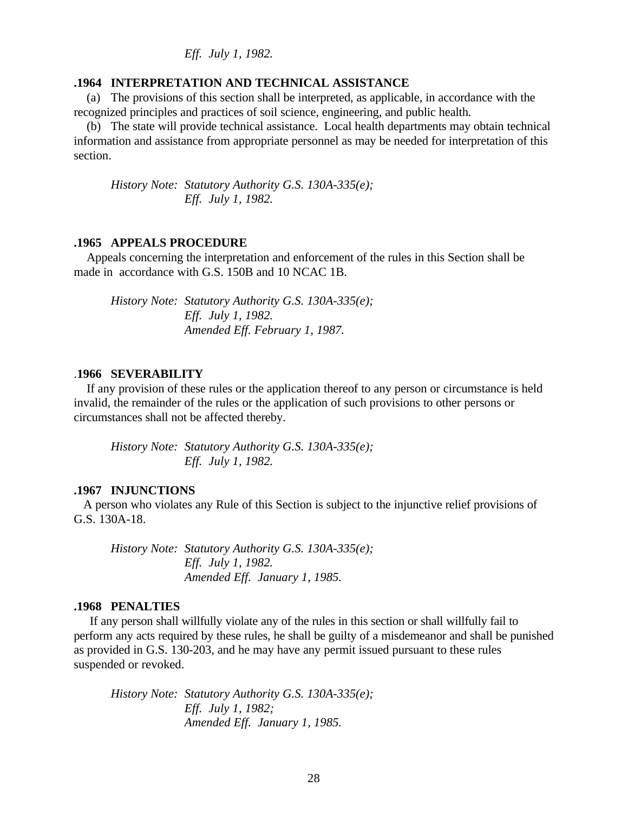*Eff. July 1, 1982.*

#### **.1964 INTERPRETATION AND TECHNICAL ASSISTANCE**

 (a) The provisions of this section shall be interpreted, as applicable, in accordance with the recognized principles and practices of soil science, engineering, and public health.

 (b) The state will provide technical assistance. Local health departments may obtain technical information and assistance from appropriate personnel as may be needed for interpretation of this section.

*History Note: Statutory Authority G.S. 130A-335(e); Eff. July 1, 1982.*

#### **.1965 APPEALS PROCEDURE**

 Appeals concerning the interpretation and enforcement of the rules in this Section shall be made in accordance with G.S. 150B and 10 NCAC 1B.

*History Note: Statutory Authority G.S. 130A-335(e); Eff. July 1, 1982. Amended Eff. February 1, 1987.*

#### .**1966 SEVERABILITY**

 If any provision of these rules or the application thereof to any person or circumstance is held invalid, the remainder of the rules or the application of such provisions to other persons or circumstances shall not be affected thereby.

*History Note: Statutory Authority G.S. 130A-335(e); Eff. July 1, 1982.*

#### **.1967 INJUNCTIONS**

 A person who violates any Rule of this Section is subject to the injunctive relief provisions of G.S. 130A-18.

*History Note: Statutory Authority G.S. 130A-335(e); Eff. July 1, 1982. Amended Eff. January 1, 1985.*

## **.1968 PENALTIES**

 If any person shall willfully violate any of the rules in this section or shall willfully fail to perform any acts required by these rules, he shall be guilty of a misdemeanor and shall be punished as provided in G.S. 130-203, and he may have any permit issued pursuant to these rules suspended or revoked.

*History Note: Statutory Authority G.S. 130A-335(e); Eff. July 1, 1982; Amended Eff. January 1, 1985.*